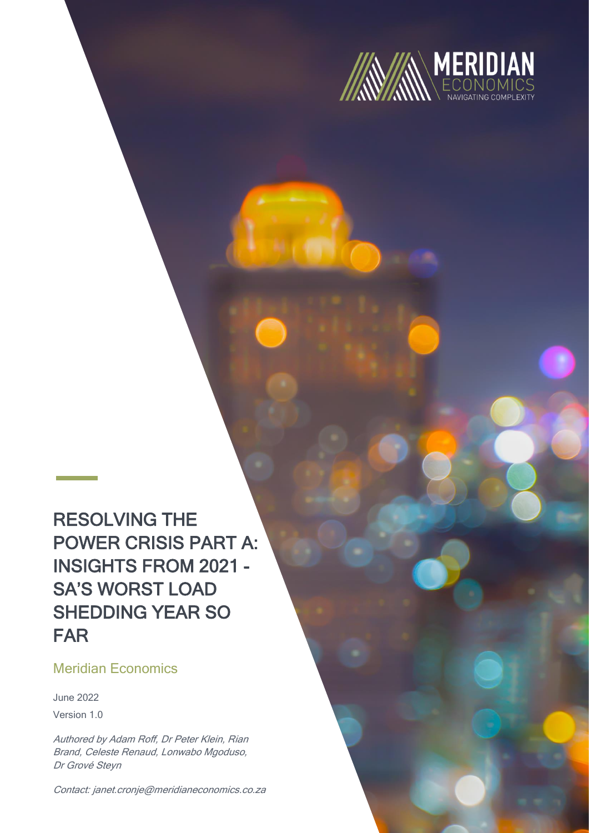

RESOLVING THE POWER CRISIS PART A: INSIGHTS FROM 2021 - SA'S WORST LOAD SHEDDING YEAR SO FAR

# Meridian Economics

June 2022 Version 1.0

Authored by Adam Roff, Dr Peter Klein, Rian Brand, Celeste Renaud, Lonwabo Mgoduso, Dr Grové Steyn

Contact: janet.cronje@meridianeconomics.co.za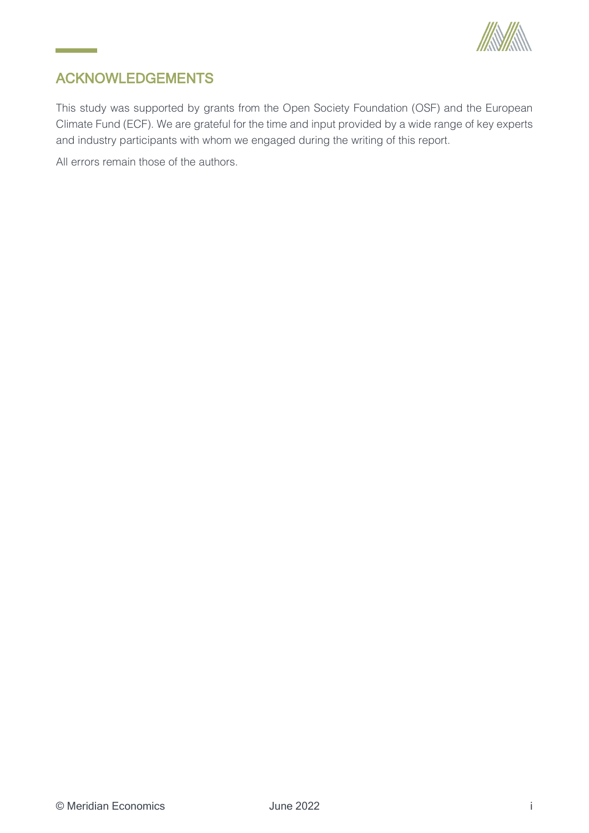

# <span id="page-1-0"></span>ACKNOWLEDGEMENTS

<u> Listo de Ca</u>

This study was supported by grants from the Open Society Foundation (OSF) and the European Climate Fund (ECF). We are grateful for the time and input provided by a wide range of key experts and industry participants with whom we engaged during the writing of this report.

All errors remain those of the authors.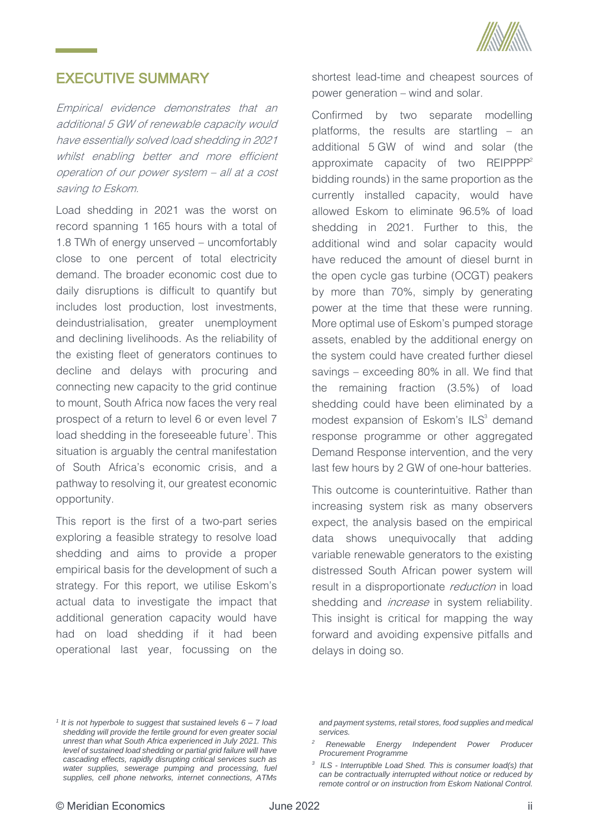

# <span id="page-2-0"></span>EXECUTIVE SUMMARY

Empirical evidence demonstrates that an additional 5 GW of renewable capacity would have essentially solved load shedding in 2021 whilst enabling better and more efficient operation of our power system – all at a cost saving to Eskom.

Load shedding in 2021 was the worst on record spanning 1 165 hours with a total of 1.8 TWh of energy unserved – uncomfortably close to one percent of total electricity demand. The broader economic cost due to daily disruptions is difficult to quantify but includes lost production, lost investments, deindustrialisation, greater unemployment and declining livelihoods. As the reliability of the existing fleet of generators continues to decline and delays with procuring and connecting new capacity to the grid continue to mount, South Africa now faces the very real prospect of a return to level 6 or even level 7 load shedding in the foreseeable future<sup>1</sup>. This situation is arguably the central manifestation of South Africa's economic crisis, and a pathway to resolving it, our greatest economic opportunity.

This report is the first of a two-part series exploring a feasible strategy to resolve load shedding and aims to provide a proper empirical basis for the development of such a strategy. For this report, we utilise Eskom's actual data to investigate the impact that additional generation capacity would have had on load shedding if it had been operational last year, focussing on the

shortest lead-time and cheapest sources of power generation – wind and solar.

Confirmed by two separate modelling platforms, the results are startling – an additional 5 GW of wind and solar (the approximate capacity of two REIPPPP<sup>2</sup> bidding rounds) in the same proportion as the currently installed capacity, would have allowed Eskom to eliminate 96.5% of load shedding in 2021. Further to this, the additional wind and solar capacity would have reduced the amount of diesel burnt in the open cycle gas turbine (OCGT) peakers by more than 70%, simply by generating power at the time that these were running. More optimal use of Eskom's pumped storage assets, enabled by the additional energy on the system could have created further diesel savings – exceeding 80% in all. We find that the remaining fraction (3.5%) of load shedding could have been eliminated by a modest expansion of Eskom's  $ILS<sup>3</sup>$  demand response programme or other aggregated Demand Response intervention, and the very last few hours by 2 GW of one-hour batteries.

This outcome is counterintuitive. Rather than increasing system risk as many observers expect, the analysis based on the empirical data shows unequivocally that adding variable renewable generators to the existing distressed South African power system will result in a disproportionate reduction in load shedding and *increase* in system reliability. This insight is critical for mapping the way forward and avoiding expensive pitfalls and delays in doing so.

*and payment systems, retail stores, food supplies and medical services.*

*<sup>1</sup> It is not hyperbole to suggest that sustained levels 6 – 7 load shedding will provide the fertile ground for even greater social unrest than what South Africa experienced in July 2021. This level of sustained load shedding or partial grid failure will have cascading effects, rapidly disrupting critical services such as water supplies, sewerage pumping and processing, fuel supplies, cell phone networks, internet connections, ATMs* 

*<sup>2</sup> Renewable Energy Independent Power Producer Procurement Programme*

*<sup>3</sup> ILS - Interruptible Load Shed. This is consumer load(s) that can be contractually interrupted without notice or reduced by remote control or on instruction from Eskom National Control.*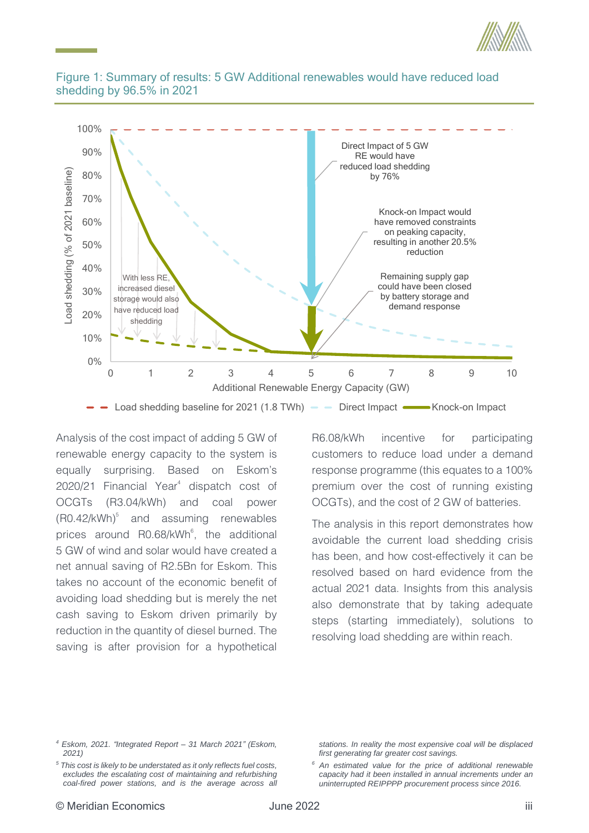



### <span id="page-3-0"></span>Figure 1: Summary of results: 5 GW Additional renewables would have reduced load shedding by 96.5% in 2021

Analysis of the cost impact of adding 5 GW of renewable energy capacity to the system is equally surprising. Based on Eskom's 2020/21 Financial Year<sup>4</sup> dispatch cost of OCGTs (R3.04/kWh) and coal power  $(R0.42/kWh)^5$  and assuming renewables prices around R0.68/kWh<sup>6</sup>, the additional 5 GW of wind and solar would have created a net annual saving of R2.5Bn for Eskom. This takes no account of the economic benefit of avoiding load shedding but is merely the net cash saving to Eskom driven primarily by reduction in the quantity of diesel burned. The saving is after provision for a hypothetical

R6.08/kWh incentive for participating customers to reduce load under a demand response programme (this equates to a 100% premium over the cost of running existing OCGTs), and the cost of 2 GW of batteries.

The analysis in this report demonstrates how avoidable the current load shedding crisis has been, and how cost-effectively it can be resolved based on hard evidence from the actual 2021 data. Insights from this analysis also demonstrate that by taking adequate steps (starting immediately), solutions to resolving load shedding are within reach.

*<sup>4</sup> Eskom, 2021. "Integrated Report – 31 March 2021" (Eskom, 2021)*

*<sup>5</sup> This cost is likely to be understated as it only reflects fuel costs, excludes the escalating cost of maintaining and refurbishing coal-fired power stations, and is the average across all* 

*stations. In reality the most expensive coal will be displaced first generating far greater cost savings.*

*<sup>6</sup> An estimated value for the price of additional renewable capacity had it been installed in annual increments under an uninterrupted REIPPPP procurement process since 2016.*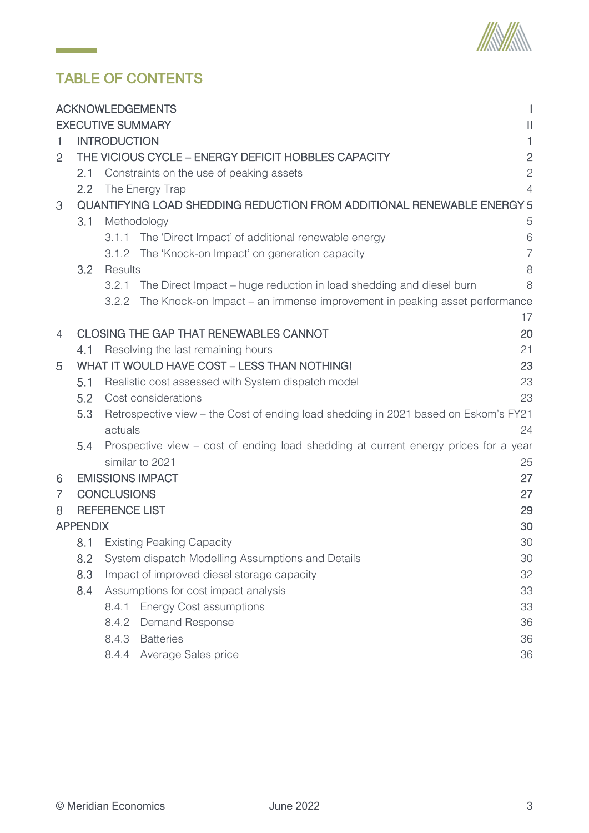

# TABLE OF CONTENTS

 $\mathcal{L}^{\text{max}}_{\text{max}}$ 

|   |                 |                          | <b>ACKNOWLEDGEMENTS</b>                                                             |                |
|---|-----------------|--------------------------|-------------------------------------------------------------------------------------|----------------|
|   |                 | <b>EXECUTIVE SUMMARY</b> |                                                                                     | $\mathbf{  }$  |
| 1 |                 | <b>INTRODUCTION</b>      |                                                                                     | 1              |
| 2 |                 |                          | THE VICIOUS CYCLE - ENERGY DEFICIT HOBBLES CAPACITY                                 | $\overline{c}$ |
|   | 2.1             |                          | Constraints on the use of peaking assets                                            | $\overline{c}$ |
|   | 2.2             |                          | The Energy Trap                                                                     | $\overline{4}$ |
| 3 |                 |                          | QUANTIFYING LOAD SHEDDING REDUCTION FROM ADDITIONAL RENEWABLE ENERGY 5              |                |
|   | 3.1             | Methodology              |                                                                                     | 5              |
|   |                 | 3.1.1                    | The 'Direct Impact' of additional renewable energy                                  | 6              |
|   |                 | 3.1.2                    | The 'Knock-on Impact' on generation capacity                                        | $\overline{7}$ |
|   | 3.2             | Results                  |                                                                                     | 8              |
|   |                 | 3.2.1                    | The Direct Impact – huge reduction in load shedding and diesel burn                 | 8              |
|   |                 | 3.2.2                    | The Knock-on Impact – an immense improvement in peaking asset performance           |                |
|   |                 |                          |                                                                                     | 17             |
| 4 |                 |                          | <b>CLOSING THE GAP THAT RENEWABLES CANNOT</b>                                       | 20             |
|   | 4.1             |                          | Resolving the last remaining hours                                                  | 21             |
| 5 |                 |                          | WHAT IT WOULD HAVE COST - LESS THAN NOTHING!                                        | 23             |
|   | 5.1             |                          | Realistic cost assessed with System dispatch model                                  | 23             |
|   | 5.2             |                          | Cost considerations                                                                 | 23             |
|   | 5.3             |                          | Retrospective view – the Cost of ending load shedding in 2021 based on Eskom's FY21 |                |
|   |                 | actuals                  |                                                                                     | 24             |
|   | 5.4             |                          | Prospective view – cost of ending load shedding at current energy prices for a year |                |
|   |                 |                          | similar to 2021                                                                     | 25             |
| 6 |                 |                          | <b>EMISSIONS IMPACT</b>                                                             | 27             |
| 7 |                 | <b>CONCLUSIONS</b>       |                                                                                     | 27             |
| 8 |                 | <b>REFERENCE LIST</b>    |                                                                                     | 29             |
|   | <b>APPENDIX</b> |                          |                                                                                     | 30             |
|   |                 |                          | 8.1 Existing Peaking Capacity                                                       | 30             |
|   | 8.2             |                          | System dispatch Modelling Assumptions and Details                                   | 30             |
|   | 8.3             |                          | Impact of improved diesel storage capacity                                          | 32             |
|   | 8.4             |                          | Assumptions for cost impact analysis                                                | 33             |
|   |                 | 8.4.1                    | <b>Energy Cost assumptions</b>                                                      | 33             |
|   |                 |                          | 8.4.2 Demand Response                                                               | 36             |
|   |                 | 8.4.3                    | <b>Batteries</b>                                                                    | 36             |
|   |                 |                          | 8.4.4 Average Sales price                                                           | 36             |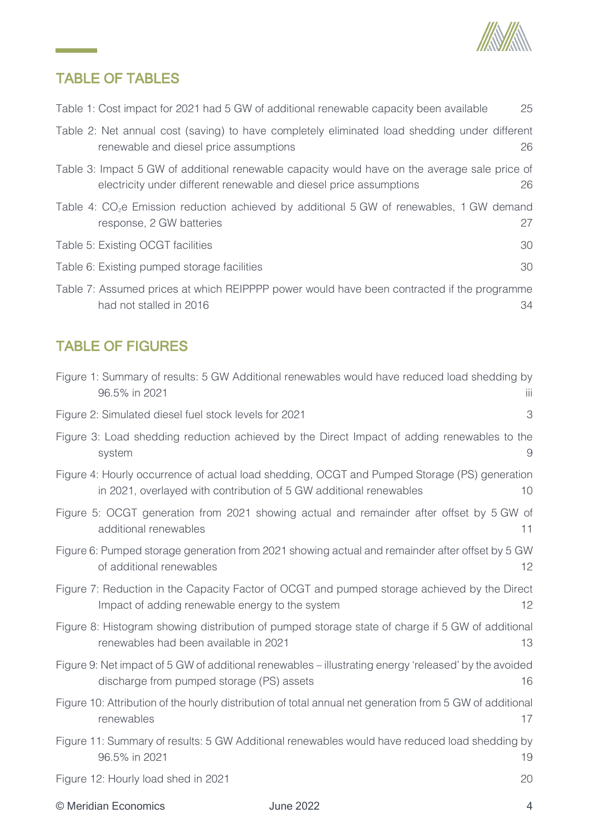

# TABLE OF TABLES

|  |  |  |  | Table 1: Cost impact for 2021 had 5 GW of additional renewable capacity been available |  | 25 |
|--|--|--|--|----------------------------------------------------------------------------------------|--|----|
|--|--|--|--|----------------------------------------------------------------------------------------|--|----|

| Table 2: Net annual cost (saving) to have completely eliminated load shedding under different |  |    |
|-----------------------------------------------------------------------------------------------|--|----|
| renewable and diesel price assumptions                                                        |  | 26 |
| table 3: Impact 5 GW of additional renewable capacity would baye on the average sale price of |  |    |

- Table 3: Impact 5 [GW of additional renewable capacity would have on the average sale price of](#page-33-1)  [electricity under different renewable and diesel price assumptions](#page-33-1) 26
- Table 4: CO<sub>2</sub>[e Emission reduction achieved by additional 5](#page-34-2) GW of renewables, 1 GW demand response, 2 [GW batteries](#page-34-2) 27

| Table 5: Existing OCGT facilities           |  |
|---------------------------------------------|--|
| Table 6: Existing pumped storage facilities |  |

[Table 7: Assumed prices at which REIPPPP power would have been contracted if the programme](#page-41-0)  [had not stalled in 2016](#page-41-0) 34

# TABLE OF FIGURES

| Figure 1: Summary of results: 5 GW Additional renewables would have reduced load shedding by<br>96.5% in 2021                                                      | Ш  |
|--------------------------------------------------------------------------------------------------------------------------------------------------------------------|----|
| Figure 2: Simulated diesel fuel stock levels for 2021                                                                                                              | 3  |
| Figure 3: Load shedding reduction achieved by the Direct Impact of adding renewables to the<br>system                                                              | 9  |
| Figure 4: Hourly occurrence of actual load shedding, OCGT and Pumped Storage (PS) generation<br>in 2021, overlayed with contribution of 5 GW additional renewables | 10 |
| Figure 5: OCGT generation from 2021 showing actual and remainder after offset by 5 GW of<br>additional renewables                                                  | 11 |
| Figure 6: Pumped storage generation from 2021 showing actual and remainder after offset by 5 GW<br>of additional renewables                                        | 12 |
| Figure 7: Reduction in the Capacity Factor of OCGT and pumped storage achieved by the Direct<br>Impact of adding renewable energy to the system                    | 12 |
| Figure 8: Histogram showing distribution of pumped storage state of charge if 5 GW of additional<br>renewables had been available in 2021                          | 13 |
| Figure 9: Net impact of 5 GW of additional renewables – illustrating energy 'released' by the avoided<br>discharge from pumped storage (PS) assets                 | 16 |
| Figure 10: Attribution of the hourly distribution of total annual net generation from 5 GW of additional<br>renewables                                             | 17 |
| Figure 11: Summary of results: 5 GW Additional renewables would have reduced load shedding by<br>96.5% in 2021                                                     | 19 |
| Figure 12: Hourly load shed in 2021                                                                                                                                | 20 |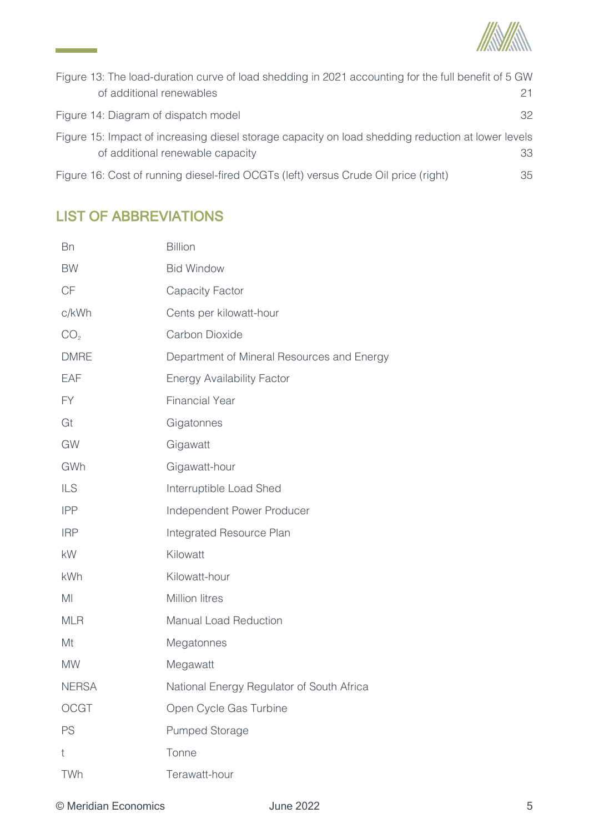

| Figure 13: The load-duration curve of load shedding in 2021 accounting for the full benefit of 5 GW                                    |     |
|----------------------------------------------------------------------------------------------------------------------------------------|-----|
| of additional renewables                                                                                                               | 21. |
| Figure 14: Diagram of dispatch model                                                                                                   | 32  |
| Figure 15: Impact of increasing diesel storage capacity on load shedding reduction at lower levels<br>of additional renewable capacity | 33  |
| Figure 16: Cost of running diesel-fired OCGTs (left) versus Crude Oil price (right)                                                    | 35  |

# LIST OF ABBREVIATIONS

<u> 1999 - Jan Barnett, p</u>

| <b>Bn</b>       | <b>Billion</b>                             |
|-----------------|--------------------------------------------|
| <b>BW</b>       | <b>Bid Window</b>                          |
| CF              | <b>Capacity Factor</b>                     |
| c/kWh           | Cents per kilowatt-hour                    |
| CO <sub>2</sub> | Carbon Dioxide                             |
| <b>DMRE</b>     | Department of Mineral Resources and Energy |
| EAF             | <b>Energy Availability Factor</b>          |
| <b>FY</b>       | <b>Financial Year</b>                      |
| Gt              | Gigatonnes                                 |
| GW              | Gigawatt                                   |
| GWh             | Gigawatt-hour                              |
| <b>ILS</b>      | Interruptible Load Shed                    |
| <b>IPP</b>      | Independent Power Producer                 |
| <b>IRP</b>      | Integrated Resource Plan                   |
| kW              | Kilowatt                                   |
| kWh             | Kilowatt-hour                              |
| MI              | <b>Million litres</b>                      |
| <b>MLR</b>      | <b>Manual Load Reduction</b>               |
| Mt              | Megatonnes                                 |
| <b>MW</b>       | Megawatt                                   |
| <b>NERSA</b>    | National Energy Regulator of South Africa  |
| <b>OCGT</b>     | Open Cycle Gas Turbine                     |
| PS              | <b>Pumped Storage</b>                      |
| t               | Tonne                                      |
| TWh             | Terawatt-hour                              |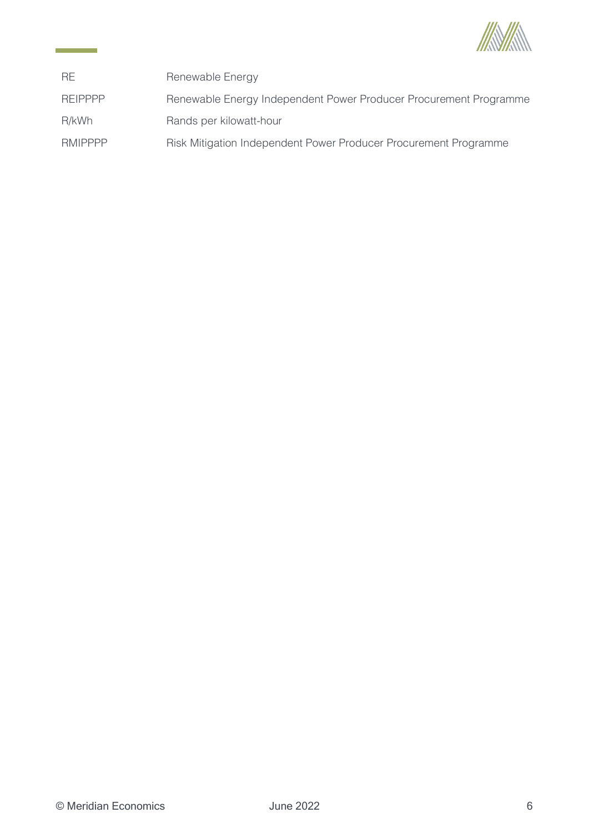

| <b>RE</b>      | Renewable Energy                                                  |
|----------------|-------------------------------------------------------------------|
| <b>REIPPPP</b> | Renewable Energy Independent Power Producer Procurement Programme |
| R/kWh          | Rands per kilowatt-hour                                           |
| <b>RMIPPPP</b> | Risk Mitigation Independent Power Producer Procurement Programme  |

and the company of the company of the company of the company of the company of the company of the company of the company of the company of the company of the company of the company of the company of the company of the comp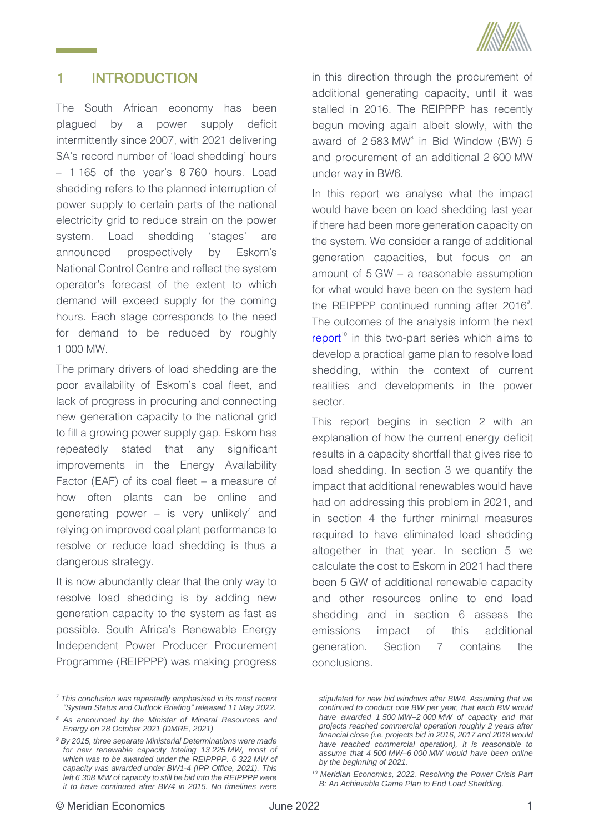

#### <span id="page-8-0"></span>1. INTRODUCTION

The South African economy has been plagued by a power supply deficit intermittently since 2007, with 2021 delivering SA's record number of 'load shedding' hours – 1 165 of the year's 8 760 hours. Load shedding refers to the planned interruption of power supply to certain parts of the national electricity grid to reduce strain on the power system. Load shedding 'stages' are announced prospectively by Eskom's National Control Centre and reflect the system operator's forecast of the extent to which demand will exceed supply for the coming hours. Each stage corresponds to the need for demand to be reduced by roughly 1 000 MW.

The primary drivers of load shedding are the poor availability of Eskom's coal fleet, and lack of progress in procuring and connecting new generation capacity to the national grid to fill a growing power supply gap. Eskom has repeatedly stated that any significant improvements in the Energy Availability Factor (EAF) of its coal fleet – a measure of how often plants can be online and generating power – is very unlikely<sup>7</sup> and relying on improved coal plant performance to resolve or reduce load shedding is thus a dangerous strategy.

It is now abundantly clear that the only way to resolve load shedding is by adding new generation capacity to the system as fast as possible. South Africa's Renewable Energy Independent Power Producer Procurement Programme (REIPPPP) was making progress

in this direction through the procurement of additional generating capacity, until it was stalled in 2016. The REIPPPP has recently begun moving again albeit slowly, with the award of  $2583 \text{ MW}^8$  in Bid Window (BW) 5 and procurement of an additional 2 600 MW under way in BW6.

In this report we analyse what the impact would have been on load shedding last year if there had been more generation capacity on the system. We consider a range of additional generation capacities, but focus on an amount of 5 GW – a reasonable assumption for what would have been on the system had the REIPPPP continued running after  $2016^\circ$ . The outcomes of the analysis inform the next [report](https://meridianeconomics.co.za/wp-content/uploads/2022/06/Resolving-Load-Shedding-Part-B-The-Game-Plan.pdf)<sup>10</sup> in this two-part series which aims to develop a practical game plan to resolve load shedding, within the context of current realities and developments in the power sector.

This report begins in section [2](#page-9-0) with an explanation of how the current energy deficit results in a capacity shortfall that gives rise to load shedding. In section [3](#page-12-0) we quantify the impact that additional renewables would have had on addressing this problem in 2021, and in section [4](#page-27-0) the further minimal measures required to have eliminated load shedding altogether in that year. In section [5](#page-30-0) we calculate the cost to Eskom in 2021 had there been 5 GW of additional renewable capacity and other resources online to end load shedding and in section [6](#page-34-0) assess the emissions impact of this additional generation. Section [7](#page-34-1) contains the conclusions.

*<sup>7</sup> This conclusion was repeatedly emphasised in its most recent "System Status and Outlook Briefing" released 11 May 2022.*

*<sup>8</sup> As announced by the Minister of Mineral Resources and Energy on 28 October 2021 (DMRE, 2021)*

*<sup>9</sup> By 2015, three separate Ministerial Determinations were made for new renewable capacity totaling 13 225 MW, most of which was to be awarded under the REIPPPP. 6 322 MW of capacity was awarded under BW1-4 (IPP Office, 2021). This left 6 308 MW of capacity to still be bid into the REIPPPP were it to have continued after BW4 in 2015. No timelines were* 

*stipulated for new bid windows after BW4. Assuming that we continued to conduct one BW per year, that each BW would have awarded 1 500 MW–2 000 MW of capacity and that projects reached commercial operation roughly 2 years after financial close (i.e. projects bid in 2016, 2017 and 2018 would have reached commercial operation), it is reasonable to assume that 4 500 MW–6 000 MW would have been online by the beginning of 2021.*

*<sup>10</sup> Meridian Economics, 2022. Resolving the Power Crisis Part B: An Achievable Game Plan to End Load Shedding.*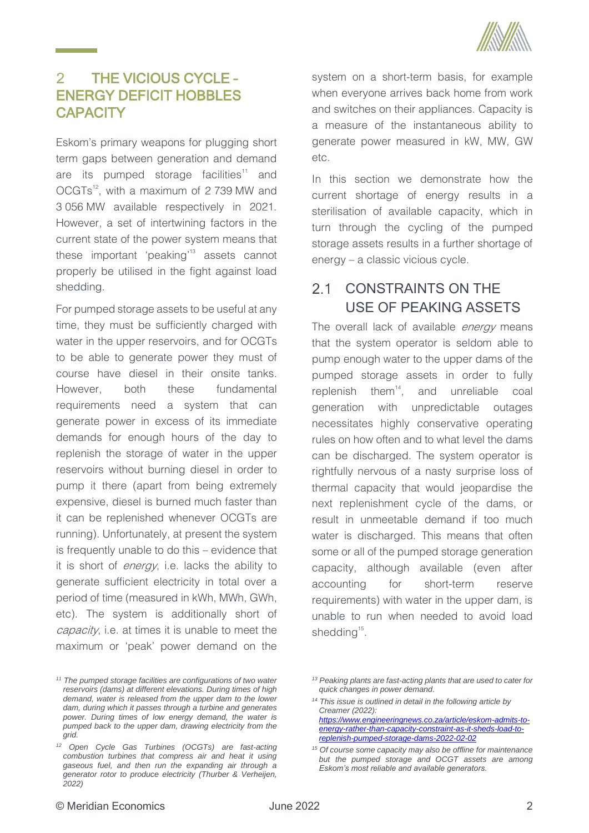

### <span id="page-9-0"></span> $\overline{2}$ THE VICIOUS CYCLE – ENERGY DEFICIT HOBBLES **CAPACITY**

Eskom's primary weapons for plugging short term gaps between generation and demand are its pumped storage facilities<sup>11</sup> and OCGTs<sup>12</sup>, with a maximum of 2739 MW and 3 056 MW available respectively in 2021. However, a set of intertwining factors in the current state of the power system means that these important 'peaking'<sup>13</sup> assets cannot properly be utilised in the fight against load shedding.

For pumped storage assets to be useful at any time, they must be sufficiently charged with water in the upper reservoirs, and for OCGTs to be able to generate power they must of course have diesel in their onsite tanks. However, both these fundamental requirements need a system that can generate power in excess of its immediate demands for enough hours of the day to replenish the storage of water in the upper reservoirs without burning diesel in order to pump it there (apart from being extremely expensive, diesel is burned much faster than it can be replenished whenever OCGTs are running). Unfortunately, at present the system is frequently unable to do this – evidence that it is short of *energy*, i.e. lacks the ability to generate sufficient electricity in total over a period of time (measured in kWh, MWh, GWh, etc). The system is additionally short of capacity, i.e. at times it is unable to meet the maximum or 'peak' power demand on the system on a short-term basis, for example when everyone arrives back home from work and switches on their appliances. Capacity is a measure of the instantaneous ability to generate power measured in kW, MW, GW etc.

In this section we demonstrate how the current shortage of energy results in a sterilisation of available capacity, which in turn through the cycling of the pumped storage assets results in a further shortage of energy – a classic vicious cycle.

### <span id="page-9-1"></span> $2.1$ CONSTRAINTS ON THE USE OF PEAKING ASSETS

The overall lack of available *energy* means that the system operator is seldom able to pump enough water to the upper dams of the pumped storage assets in order to fully replenish them<sup>14</sup>, and unreliable coal generation with unpredictable outages necessitates highly conservative operating rules on how often and to what level the dams can be discharged. The system operator is rightfully nervous of a nasty surprise loss of thermal capacity that would jeopardise the next replenishment cycle of the dams, or result in unmeetable demand if too much water is discharged. This means that often some or all of the pumped storage generation capacity, although available (even after accounting for short-term reserve requirements) with water in the upper dam, is unable to run when needed to avoid load shedding<sup>15</sup>.

*<sup>11</sup> The pumped storage facilities are configurations of two water reservoirs (dams) at different elevations. During times of high demand, water is released from the upper dam to the lower dam, during which it passes through a turbine and generates power. During times of low energy demand, the water is pumped back to the upper dam, drawing electricity from the grid.*

*<sup>12</sup> Open Cycle Gas Turbines (OCGTs) are fast-acting combustion turbines that compress air and heat it using gaseous fuel, and then run the expanding air through a generator rotor to produce electricity (Thurber & Verheijen, 2022)*

*<sup>13</sup> Peaking plants are fast-acting plants that are used to cater for quick changes in power demand.*

*<sup>14</sup> This issue is outlined in detail in the following article by Creamer (2022): [https://www.engineeringnews.co.za/article/eskom-admits-to](https://www.engineeringnews.co.za/article/eskom-admits-to-energy-rather-than-capacity-constraint-as-it-sheds-load-to-replenish-pumped-storage-dams-2022-02-02)[energy-rather-than-capacity-constraint-as-it-sheds-load-to](https://www.engineeringnews.co.za/article/eskom-admits-to-energy-rather-than-capacity-constraint-as-it-sheds-load-to-replenish-pumped-storage-dams-2022-02-02)[replenish-pumped-storage-dams-2022-02-02](https://www.engineeringnews.co.za/article/eskom-admits-to-energy-rather-than-capacity-constraint-as-it-sheds-load-to-replenish-pumped-storage-dams-2022-02-02)*

*<sup>15</sup> Of course some capacity may also be offline for maintenance but the pumped storage and OCGT assets are among Eskom's most reliable and available generators.*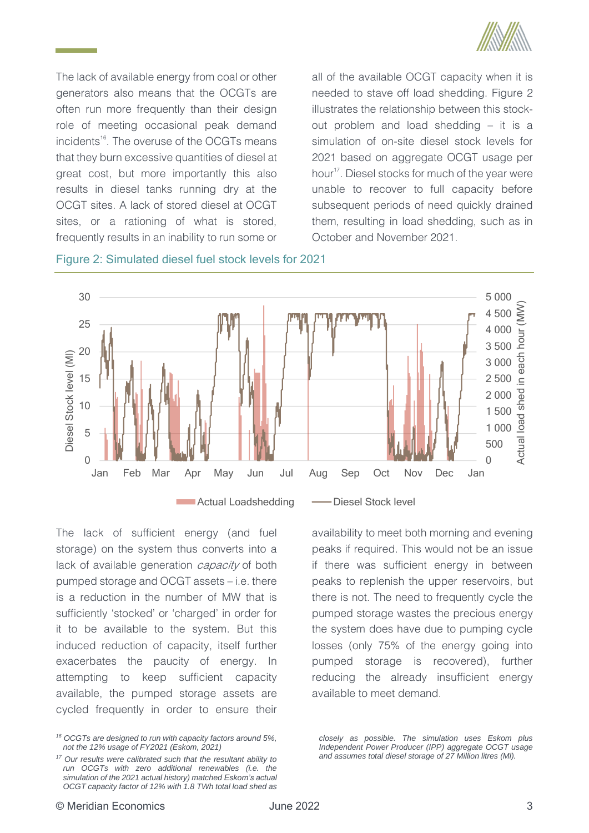

The lack of available energy from coal or other generators also means that the OCGTs are often run more frequently than their design role of meeting occasional peak demand incidents<sup>16</sup>. The overuse of the OCGTs means that they burn excessive quantities of diesel at great cost, but more importantly this also results in diesel tanks running dry at the OCGT sites. A lack of stored diesel at OCGT sites, or a rationing of what is stored, frequently results in an inability to run some or

all of the available OCGT capacity when it is needed to stave off load shedding. [Figure 2](#page-10-0) illustrates the relationship between this stockout problem and load shedding – it is a simulation of on-site diesel stock levels for 2021 based on aggregate OCGT usage per hour<sup>17</sup>. Diesel stocks for much of the year were unable to recover to full capacity before subsequent periods of need quickly drained them, resulting in load shedding, such as in October and November 2021.



<span id="page-10-0"></span>Figure 2: Simulated diesel fuel stock levels for 2021

The lack of sufficient energy (and fuel storage) on the system thus converts into a lack of available generation *capacity* of both pumped storage and OCGT assets – i.e. there is a reduction in the number of MW that is sufficiently 'stocked' or 'charged' in order for it to be available to the system. But this induced reduction of capacity, itself further exacerbates the paucity of energy. In attempting to keep sufficient capacity available, the pumped storage assets are cycled frequently in order to ensure their

availability to meet both morning and evening peaks if required. This would not be an issue if there was sufficient energy in between peaks to replenish the upper reservoirs, but there is not. The need to frequently cycle the pumped storage wastes the precious energy the system does have due to pumping cycle losses (only 75% of the energy going into pumped storage is recovered), further reducing the already insufficient energy available to meet demand.

*closely as possible. The simulation uses Eskom plus Independent Power Producer (IPP) aggregate OCGT usage and assumes total diesel storage of 27 Million litres (Ml).* 

*<sup>16</sup> OCGTs are designed to run with capacity factors around 5%, not the 12% usage of FY2021 (Eskom, 2021)*

*<sup>17</sup> Our results were calibrated such that the resultant ability to run OCGTs with zero additional renewables (i.e. the simulation of the 2021 actual history) matched Eskom's actual OCGT capacity factor of 12% with 1.8 TWh total load shed as*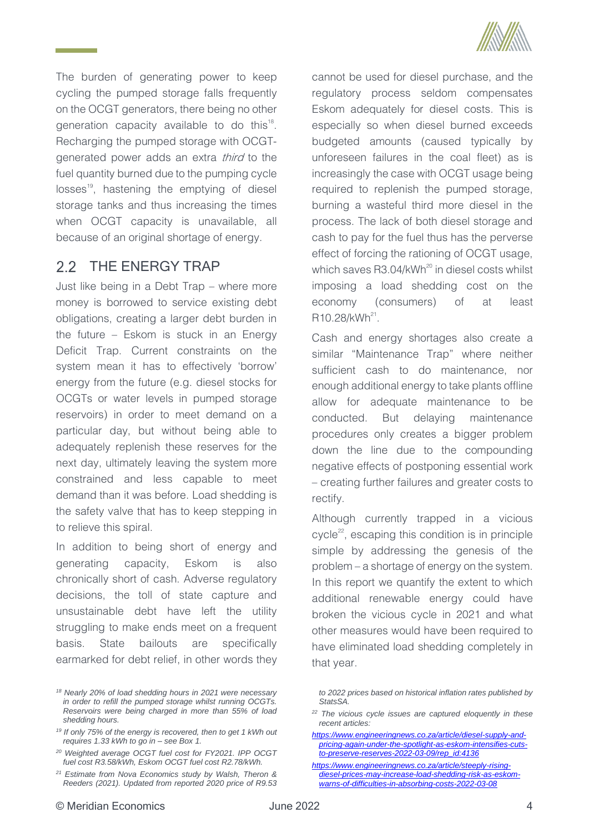

The burden of generating power to keep cycling the pumped storage falls frequently on the OCGT generators, there being no other generation capacity available to do this $18$ . Recharging the pumped storage with OCGTgenerated power adds an extra third to the fuel quantity burned due to the pumping cycle losses<sup>19</sup>, hastening the emptying of diesel storage tanks and thus increasing the times when OCGT capacity is unavailable, all because of an original shortage of energy.

# <span id="page-11-0"></span>2.2 THE ENERGY TRAP

Just like being in a Debt Trap – where more money is borrowed to service existing debt obligations, creating a larger debt burden in the future – Eskom is stuck in an Energy Deficit Trap. Current constraints on the system mean it has to effectively 'borrow' energy from the future (e.g. diesel stocks for OCGTs or water levels in pumped storage reservoirs) in order to meet demand on a particular day, but without being able to adequately replenish these reserves for the next day, ultimately leaving the system more constrained and less capable to meet demand than it was before. Load shedding is the safety valve that has to keep stepping in to relieve this spiral.

In addition to being short of energy and generating capacity, Eskom is also chronically short of cash. Adverse regulatory decisions, the toll of state capture and unsustainable debt have left the utility struggling to make ends meet on a frequent basis. State bailouts are specifically earmarked for debt relief, in other words they cannot be used for diesel purchase, and the regulatory process seldom compensates Eskom adequately for diesel costs. This is especially so when diesel burned exceeds budgeted amounts (caused typically by unforeseen failures in the coal fleet) as is increasingly the case with OCGT usage being required to replenish the pumped storage, burning a wasteful third more diesel in the process. The lack of both diesel storage and cash to pay for the fuel thus has the perverse effect of forcing the rationing of OCGT usage, which saves  $R3.04/kWh^{20}$  in diesel costs whilst imposing a load shedding cost on the economy (consumers) of at least R10.28/kWh<sup>21</sup>.

Cash and energy shortages also create a similar "Maintenance Trap" where neither sufficient cash to do maintenance, nor enough additional energy to take plants offline allow for adequate maintenance to be conducted. But delaying maintenance procedures only creates a bigger problem down the line due to the compounding negative effects of postponing essential work – creating further failures and greater costs to rectify.

Although currently trapped in a vicious cycle<sup>22</sup>, escaping this condition is in principle simple by addressing the genesis of the problem – a shortage of energy on the system. In this report we quantify the extent to which additional renewable energy could have broken the vicious cycle in 2021 and what other measures would have been required to have eliminated load shedding completely in that year.

*<sup>18</sup> Nearly 20% of load shedding hours in 2021 were necessary in order to refill the pumped storage whilst running OCGTs. Reservoirs were being charged in more than 55% of load shedding hours.*

*<sup>19</sup> If only 75% of the energy is recovered, then to get 1 kWh out requires 1.33 kWh to go in – see [Box 1.](#page-21-0)* 

*<sup>20</sup> Weighted average OCGT fuel cost for FY2021. IPP OCGT fuel cost R3.58/kWh, Eskom OCGT fuel cost R2.78/kWh.* 

*<sup>21</sup> Estimate from Nova Economics study by Walsh, Theron & Reeders (2021). Updated from reported 2020 price of R9.53* 

*to 2022 prices based on historical inflation rates published by StatsSA.*

*<sup>22</sup> The vicious cycle issues are captured eloquently in these recent articles:* 

*[https://www.engineeringnews.co.za/article/diesel-supply-and](https://www.engineeringnews.co.za/article/diesel-supply-and-pricing-again-under-the-spotlight-as-eskom-intensifies-cuts-to-preserve-reserves-2022-03-09/rep_id:4136)[pricing-again-under-the-spotlight-as-eskom-intensifies-cuts](https://www.engineeringnews.co.za/article/diesel-supply-and-pricing-again-under-the-spotlight-as-eskom-intensifies-cuts-to-preserve-reserves-2022-03-09/rep_id:4136)[to-preserve-reserves-2022-03-09/rep\\_id:4136](https://www.engineeringnews.co.za/article/diesel-supply-and-pricing-again-under-the-spotlight-as-eskom-intensifies-cuts-to-preserve-reserves-2022-03-09/rep_id:4136)*

*[https://www.engineeringnews.co.za/article/steeply-rising](https://www.engineeringnews.co.za/article/steeply-rising-diesel-prices-may-increase-load-shedding-risk-as-eskom-warns-of-difficulties-in-absorbing-costs-2022-03-08)[diesel-prices-may-increase-load-shedding-risk-as-eskom](https://www.engineeringnews.co.za/article/steeply-rising-diesel-prices-may-increase-load-shedding-risk-as-eskom-warns-of-difficulties-in-absorbing-costs-2022-03-08)[warns-of-difficulties-in-absorbing-costs-2022-03-08](https://www.engineeringnews.co.za/article/steeply-rising-diesel-prices-may-increase-load-shedding-risk-as-eskom-warns-of-difficulties-in-absorbing-costs-2022-03-08)*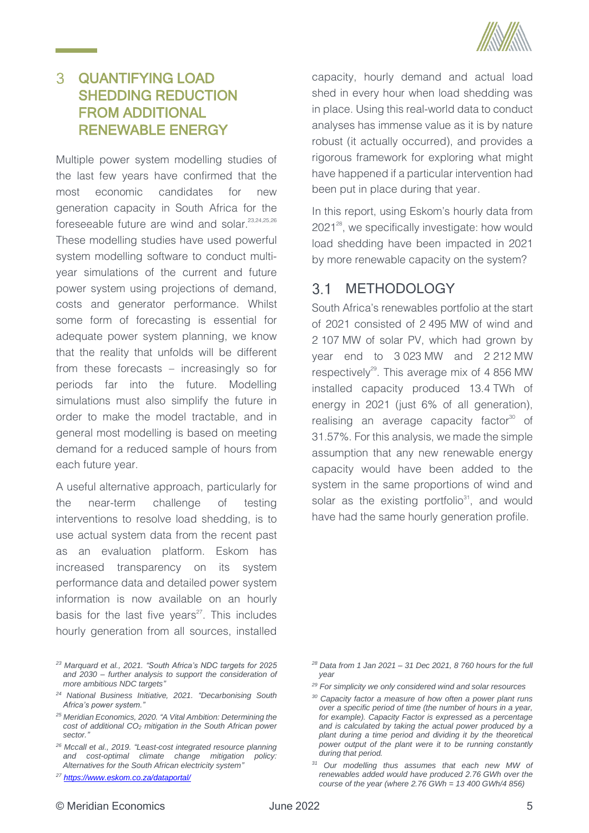

### <span id="page-12-0"></span> $\overline{3}$ QUANTIFYING LOAD SHEDDING REDUCTION FROM ADDITIONAL RENEWABLE ENERGY

Multiple power system modelling studies of the last few years have confirmed that the most economic candidates for new generation capacity in South Africa for the foreseeable future are wind and solar.<sup>23,24,25,26</sup> These modelling studies have used powerful system modelling software to conduct multiyear simulations of the current and future power system using projections of demand, costs and generator performance. Whilst some form of forecasting is essential for adequate power system planning, we know that the reality that unfolds will be different from these forecasts – increasingly so for periods far into the future. Modelling simulations must also simplify the future in order to make the model tractable, and in general most modelling is based on meeting demand for a reduced sample of hours from each future year.

A useful alternative approach, particularly for the near-term challenge of testing interventions to resolve load shedding, is to use actual system data from the recent past as an evaluation platform. Eskom has increased transparency on its system performance data and detailed power system information is now available on an hourly basis for the last five years $27$ . This includes hourly generation from all sources, installed

rigorous framework for exploring what might have happened if a particular intervention had been put in place during that year. In this report, using Eskom's hourly data from 2021<sup>28</sup>, we specifically investigate: how would load shedding have been impacted in 2021 by more renewable capacity on the system?

#### <span id="page-12-1"></span> $3.1$ METHODOLOGY

South Africa's renewables portfolio at the start of 2021 consisted of 2 495 MW of wind and 2 107 MW of solar PV, which had grown by year end to 3 023 MW and 2 212 MW respectively<sup>29</sup>. This average mix of 4 856 MW installed capacity produced 13.4 TWh of energy in 2021 (just 6% of all generation), realising an average capacity factor $30^\circ$  of 31.57%. For this analysis, we made the simple assumption that any new renewable energy capacity would have been added to the system in the same proportions of wind and solar as the existing portfolio<sup>31</sup>, and would have had the same hourly generation profile.

capacity, hourly demand and actual load shed in every hour when load shedding was in place. Using this real-world data to conduct analyses has immense value as it is by nature robust (it actually occurred), and provides a

*<sup>23</sup> Marquard et al., 2021. "South Africa's NDC targets for 2025 and 2030 – further analysis to support the consideration of more ambitious NDC targets"*

*<sup>24</sup> National Business Initiative, 2021. "Decarbonising South Africa's power system."*

*<sup>25</sup> Meridian Economics, 2020. "A Vital Ambition: Determining the cost of additional CO<sup>2</sup> mitigation in the South African power sector."*

*<sup>26</sup> Mccall et al., 2019. "Least-cost integrated resource planning and cost-optimal climate change mitigation policy: Alternatives for the South African electricity system"*

*<sup>27</sup> <https://www.eskom.co.za/dataportal/>*

*<sup>28</sup> Data from 1 Jan 2021 – 31 Dec 2021, 8 760 hours for the full year*

*<sup>29</sup> For simplicity we only considered wind and solar resources*

*<sup>30</sup> Capacity factor a measure of how often a power plant runs over a specific period of time (the number of hours in a year, for example). Capacity Factor is expressed as a percentage and is calculated by taking the actual power produced by a plant during a time period and dividing it by the theoretical power output of the plant were it to be running constantly during that period.*

*<sup>31</sup> Our modelling thus assumes that each new MW of renewables added would have produced 2.76 GWh over the course of the year (where 2.76 GWh = 13 400 GWh/4 856)*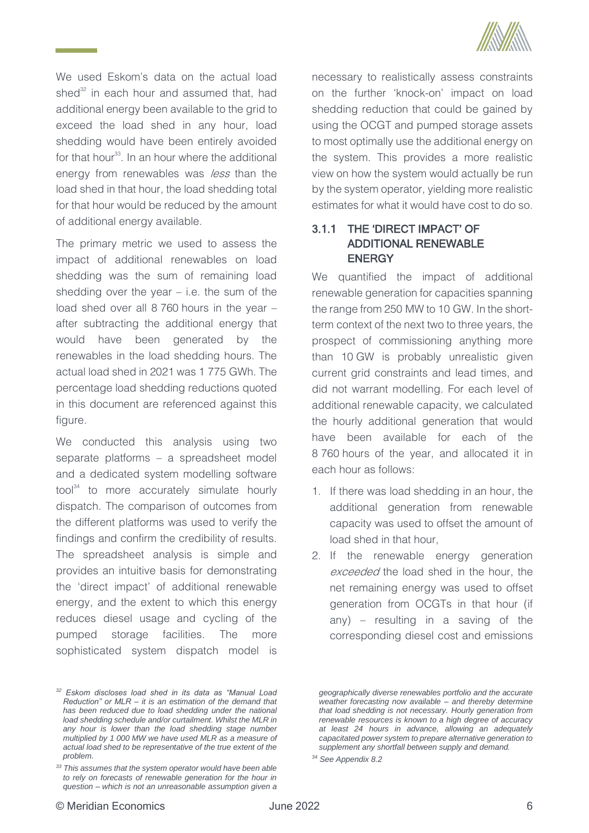

We used Eskom's data on the actual load shed<sup>32</sup> in each hour and assumed that, had additional energy been available to the grid to exceed the load shed in any hour, load shedding would have been entirely avoided for that hour<sup>33</sup>. In an hour where the additional energy from renewables was *less* than the load shed in that hour, the load shedding total for that hour would be reduced by the amount of additional energy available.

The primary metric we used to assess the impact of additional renewables on load shedding was the sum of remaining load shedding over the year  $-$  i.e. the sum of the load shed over all 8 760 hours in the year – after subtracting the additional energy that would have been generated by the renewables in the load shedding hours. The actual load shed in 2021 was 1 775 GWh. The percentage load shedding reductions quoted in this document are referenced against this figure.

We conducted this analysis using two separate platforms – a spreadsheet model and a dedicated system modelling software tool<sup>34</sup> to more accurately simulate hourly dispatch. The comparison of outcomes from the different platforms was used to verify the findings and confirm the credibility of results. The spreadsheet analysis is simple and provides an intuitive basis for demonstrating the 'direct impact' of additional renewable energy, and the extent to which this energy reduces diesel usage and cycling of the pumped storage facilities. The more sophisticated system dispatch model is

necessary to realistically assess constraints on the further 'knock-on' impact on load shedding reduction that could be gained by using the OCGT and pumped storage assets to most optimally use the additional energy on the system. This provides a more realistic view on how the system would actually be run by the system operator, yielding more realistic estimates for what it would have cost to do so.

# <span id="page-13-0"></span>3.1.1 THE 'DIRECT IMPACT' OF ADDITIONAL RENEWABLE **ENERGY**

We quantified the impact of additional renewable generation for capacities spanning the range from 250 MW to 10 GW. In the shortterm context of the next two to three years, the prospect of commissioning anything more than 10 GW is probably unrealistic given current grid constraints and lead times, and did not warrant modelling. For each level of additional renewable capacity, we calculated the hourly additional generation that would have been available for each of the 8 760 hours of the year, and allocated it in each hour as follows:

- 1. If there was load shedding in an hour, the additional generation from renewable capacity was used to offset the amount of load shed in that hour,
- 2. If the renewable energy generation exceeded the load shed in the hour, the net remaining energy was used to offset generation from OCGTs in that hour (if any) – resulting in a saving of the corresponding diesel cost and emissions

*<sup>32</sup> Eskom discloses load shed in its data as "Manual Load Reduction" or MLR – it is an estimation of the demand that has been reduced due to load shedding under the national load shedding schedule and/or curtailment. Whilst the MLR in any hour is lower than the load shedding stage number multiplied by 1 000 MW we have used MLR as a measure of actual load shed to be representative of the true extent of the problem.*

*<sup>33</sup> This assumes that the system operator would have been able to rely on forecasts of renewable generation for the hour in question – which is not an unreasonable assumption given a* 

*geographically diverse renewables portfolio and the accurate weather forecasting now available – and thereby determine that load shedding is not necessary. Hourly generation from renewable resources is known to a high degree of accuracy at least 24 hours in advance, allowing an adequately capacitated power system to prepare alternative generation to supplement any shortfall between supply and demand.* 

*<sup>34</sup> See Appendi[x 8.2](#page-37-2)*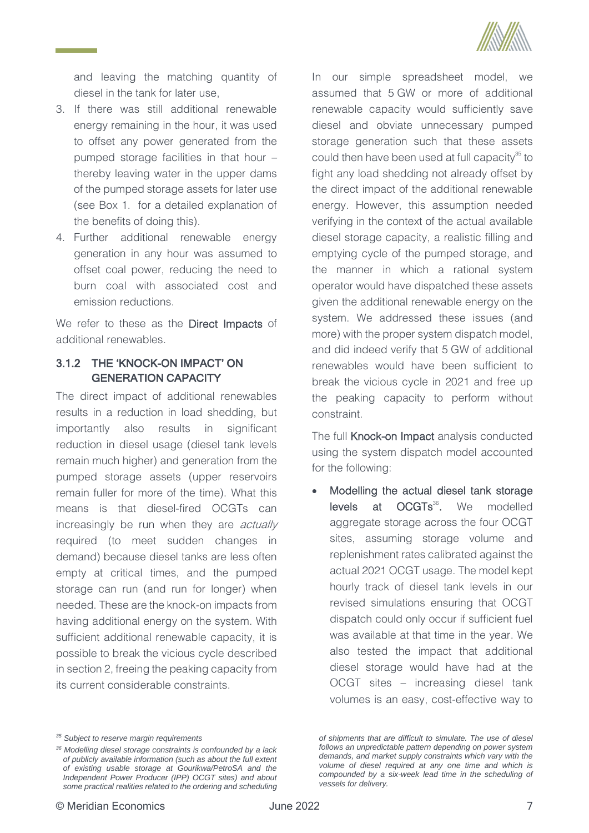

and leaving the matching quantity of diesel in the tank for later use,

- 3. If there was still additional renewable energy remaining in the hour, it was used to offset any power generated from the pumped storage facilities in that hour – thereby leaving water in the upper dams of the pumped storage assets for later use (see [Box 1.](#page-21-0) for a detailed explanation of the benefits of doing this).
- 4. Further additional renewable energy generation in any hour was assumed to offset coal power, reducing the need to burn coal with associated cost and emission reductions.

We refer to these as the **Direct Impacts** of additional renewables.

# <span id="page-14-0"></span>3.1.2 THE 'KNOCK-ON IMPACT' ON GENERATION CAPACITY

The direct impact of additional renewables results in a reduction in load shedding, but importantly also results in significant reduction in diesel usage (diesel tank levels remain much higher) and generation from the pumped storage assets (upper reservoirs remain fuller for more of the time). What this means is that diesel-fired OCGTs can increasingly be run when they are *actually* required (to meet sudden changes in demand) because diesel tanks are less often empty at critical times, and the pumped storage can run (and run for longer) when needed. These are the knock-on impacts from having additional energy on the system. With sufficient additional renewable capacity, it is possible to break the vicious cycle described in sectio[n 2,](#page-9-0) freeing the peaking capacity from its current considerable constraints.

In our simple spreadsheet model, we assumed that 5 GW or more of additional renewable capacity would sufficiently save diesel and obviate unnecessary pumped storage generation such that these assets could then have been used at full capacity $35$  to fight any load shedding not already offset by the direct impact of the additional renewable energy. However, this assumption needed verifying in the context of the actual available diesel storage capacity, a realistic filling and emptying cycle of the pumped storage, and the manner in which a rational system operator would have dispatched these assets given the additional renewable energy on the system. We addressed these issues (and more) with the proper system dispatch model, and did indeed verify that 5 GW of additional renewables would have been sufficient to break the vicious cycle in 2021 and free up the peaking capacity to perform without constraint.

The full Knock-on Impact analysis conducted using the system dispatch model accounted for the following:

• Modelling the actual diesel tank storage levels at OCGTs<sup>36</sup> modelled aggregate storage across the four OCGT sites, assuming storage volume and replenishment rates calibrated against the actual 2021 OCGT usage. The model kept hourly track of diesel tank levels in our revised simulations ensuring that OCGT dispatch could only occur if sufficient fuel was available at that time in the year. We also tested the impact that additional diesel storage would have had at the OCGT sites – increasing diesel tank volumes is an easy, cost-effective way to

*of shipments that are difficult to simulate. The use of diesel follows an unpredictable pattern depending on power system demands, and market supply constraints which vary with the volume of diesel required at any one time and which is compounded by a six-week lead time in the scheduling of vessels for delivery.* 

*<sup>35</sup> Subject to reserve margin requirements*

*<sup>36</sup> Modelling diesel storage constraints is confounded by a lack of publicly available information (such as about the full extent of existing usable storage at Gourikwa/PetroSA and the Independent Power Producer (IPP) OCGT sites) and about some practical realities related to the ordering and scheduling*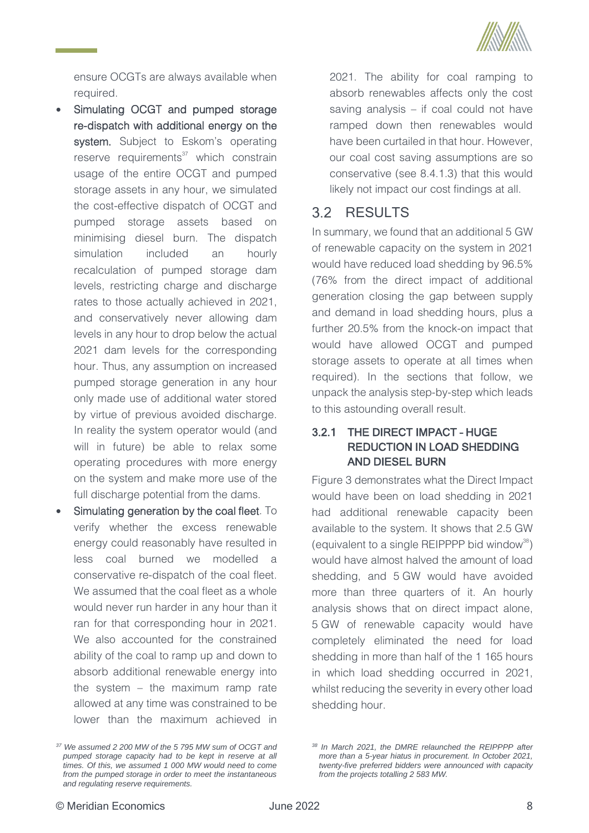

ensure OCGTs are always available when required.

- Simulating OCGT and pumped storage re-dispatch with additional energy on the system. Subject to Eskom's operating reserve requirements $37$  which constrain usage of the entire OCGT and pumped storage assets in any hour, we simulated the cost-effective dispatch of OCGT and pumped storage assets based on minimising diesel burn. The dispatch simulation included an hourly recalculation of pumped storage dam levels, restricting charge and discharge rates to those actually achieved in 2021, and conservatively never allowing dam levels in any hour to drop below the actual 2021 dam levels for the corresponding hour. Thus, any assumption on increased pumped storage generation in any hour only made use of additional water stored by virtue of previous avoided discharge. In reality the system operator would (and will in future) be able to relax some operating procedures with more energy on the system and make more use of the full discharge potential from the dams.
- Simulating generation by the coal fleet. To verify whether the excess renewable energy could reasonably have resulted in less coal burned we modelled a conservative re-dispatch of the coal fleet. We assumed that the coal fleet as a whole would never run harder in any hour than it ran for that corresponding hour in 2021. We also accounted for the constrained ability of the coal to ramp up and down to absorb additional renewable energy into the system – the maximum ramp rate allowed at any time was constrained to be lower than the maximum achieved in

2021. The ability for coal ramping to absorb renewables affects only the cost saving analysis – if coal could not have ramped down then renewables would have been curtailed in that hour. However, our coal cost saving assumptions are so conservative (see [8.4.1.3\)](#page-42-1) that this would likely not impact our cost findings at all.

# <span id="page-15-0"></span>3.2 RESULTS

In summary, we found that an additional 5 GW of renewable capacity on the system in 2021 would have reduced load shedding by 96.5% (76% from the direct impact of additional generation closing the gap between supply and demand in load shedding hours, plus a further 20.5% from the knock-on impact that would have allowed OCGT and pumped storage assets to operate at all times when required). In the sections that follow, we unpack the analysis step-by-step which leads to this astounding overall result.

# <span id="page-15-1"></span>3.2.1 THE DIRECT IMPACT – HUGE REDUCTION IN LOAD SHEDDING AND DIESEL BURN

[Figure 3](#page-16-0) demonstrates what the Direct Impact would have been on load shedding in 2021 had additional renewable capacity been available to the system. It shows that 2.5 GW (equivalent to a single REIPPPP bid window<sup>38</sup>) would have almost halved the amount of load shedding, and 5 GW would have avoided more than three quarters of it. An hourly analysis shows that on direct impact alone, 5 GW of renewable capacity would have completely eliminated the need for load shedding in more than half of the 1 165 hours in which load shedding occurred in 2021, whilst reducing the severity in every other load shedding hour.

*<sup>37</sup> We assumed 2 200 MW of the 5 795 MW sum of OCGT and pumped storage capacity had to be kept in reserve at all times. Of this, we assumed 1 000 MW would need to come from the pumped storage in order to meet the instantaneous and regulating reserve requirements.*

*<sup>38</sup> In March 2021, the DMRE relaunched the REIPPPP after more than a 5-year hiatus in procurement. In October 2021, twenty-five preferred bidders were announced with capacity from the projects totalling 2 583 MW.*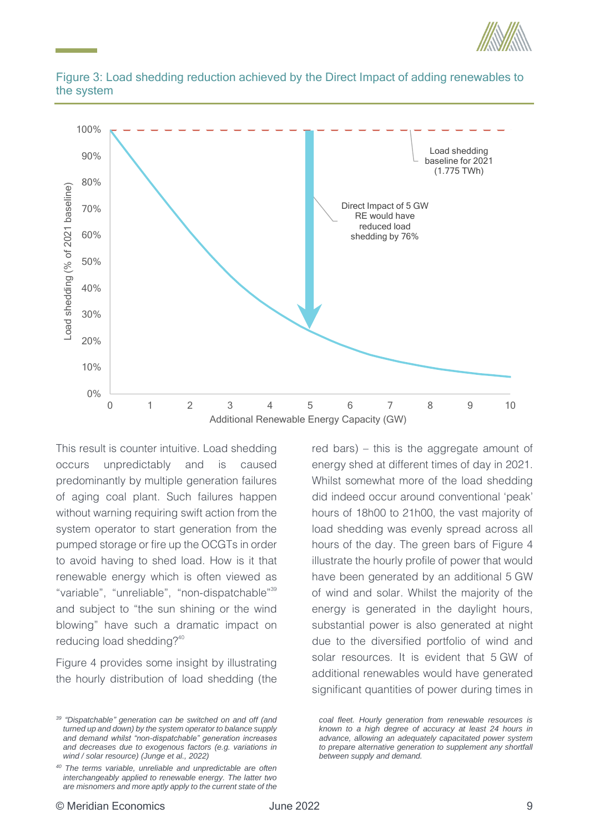



<span id="page-16-0"></span>

This result is counter intuitive. Load shedding occurs unpredictably and is caused predominantly by multiple generation failures of aging coal plant. Such failures happen without warning requiring swift action from the system operator to start generation from the pumped storage or fire up the OCGTs in order to avoid having to shed load. How is it that renewable energy which is often viewed as "variable", "unreliable", "non-dispatchable"<sup>39</sup> and subject to "the sun shining or the wind blowing" have such a dramatic impact on reducing load shedding?<sup>40</sup>

[Figure 4](#page-17-0) provides some insight by illustrating the hourly distribution of load shedding (the red bars) – this is the aggregate amount of energy shed at different times of day in 2021. Whilst somewhat more of the load shedding did indeed occur around conventional 'peak' hours of 18h00 to 21h00, the vast majority of load shedding was evenly spread across all hours of the day. The green bars of [Figure 4](#page-17-0) illustrate the hourly profile of power that would have been generated by an additional 5 GW of wind and solar. Whilst the majority of the energy is generated in the daylight hours, substantial power is also generated at night due to the diversified portfolio of wind and solar resources. It is evident that 5 GW of additional renewables would have generated significant quantities of power during times in

*<sup>39</sup> "Dispatchable" generation can be switched on and off (and turned up and down) by the system operator to balance supply and demand whilst "non-dispatchable" generation increases and decreases due to exogenous factors (e.g. variations in wind / solar resource) (Junge et al., 2022)*

*<sup>40</sup> The terms variable, unreliable and unpredictable are often interchangeably applied to renewable energy. The latter two are misnomers and more aptly apply to the current state of the* 

*coal fleet. Hourly generation from renewable resources is known to a high degree of accuracy at least 24 hours in advance, allowing an adequately capacitated power system to prepare alternative generation to supplement any shortfall between supply and demand.*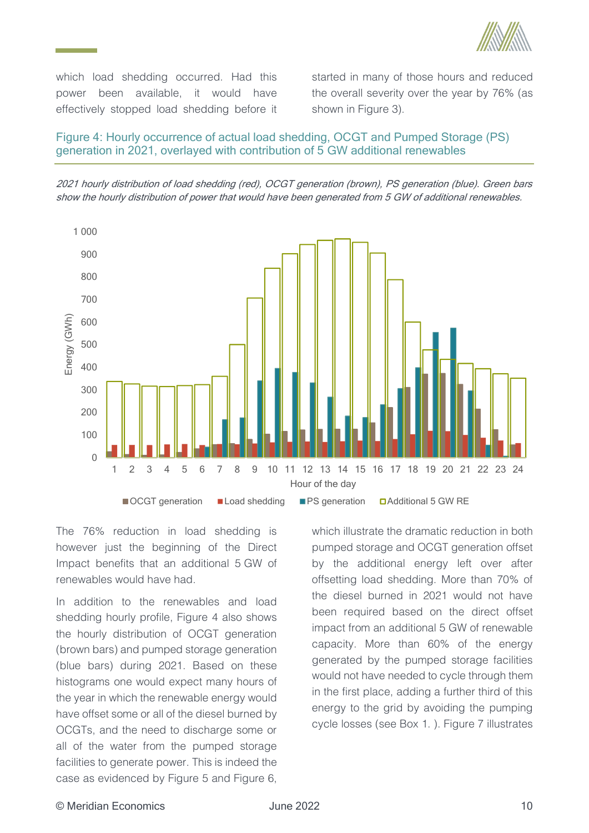

which load shedding occurred. Had this power been available, it would have effectively stopped load shedding before it started in many of those hours and reduced the overall severity over the year by 76% (as shown in [Figure 3\)](#page-16-0).

### <span id="page-17-0"></span>Figure 4: Hourly occurrence of actual load shedding, OCGT and Pumped Storage (PS) generation in 2021, overlayed with contribution of 5 GW additional renewables





The 76% reduction in load shedding is however just the beginning of the Direct Impact benefits that an additional 5 GW of renewables would have had.

In addition to the renewables and load shedding hourly profile, [Figure 4](#page-17-0) also shows the hourly distribution of OCGT generation (brown bars) and pumped storage generation (blue bars) during 2021. Based on these histograms one would expect many hours of the year in which the renewable energy would have offset some or all of the diesel burned by OCGTs, and the need to discharge some or all of the water from the pumped storage facilities to generate power. This is indeed the case as evidenced by [Figure 5](#page-18-0) and [Figure 6,](#page-19-0) which illustrate the dramatic reduction in both pumped storage and OCGT generation offset by the additional energy left over after offsetting load shedding. More than 70% of the diesel burned in 2021 would not have been required based on the direct offset impact from an additional 5 GW of renewable capacity. More than 60% of the energy generated by the pumped storage facilities would not have needed to cycle through them in the first place, adding a further third of this energy to the grid by avoiding the pumping cycle losses (see [Box 1. \)](#page-21-0). [Figure 7](#page-19-1) illustrates

### © Meridian Economics June 2022 10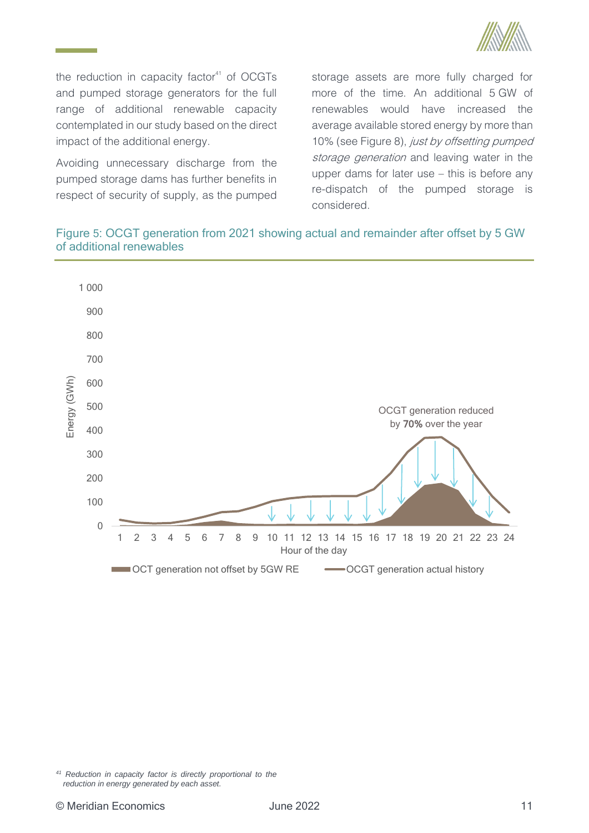

the reduction in capacity factor $41$  of OCGTs and pumped storage generators for the full range of additional renewable capacity contemplated in our study based on the direct impact of the additional energy.

Avoiding unnecessary discharge from the pumped storage dams has further benefits in respect of security of supply, as the pumped storage assets are more fully charged for more of the time. An additional 5 GW of renewables would have increased the average available stored energy by more than 10% (see [Figure 8\)](#page-20-0), just by offsetting pumped storage generation and leaving water in the upper dams for later use – this is before any re-dispatch of the pumped storage is considered.

# <span id="page-18-0"></span>Figure 5: OCGT generation from 2021 showing actual and remainder after offset by 5 GW of additional renewables



*<sup>41</sup> Reduction in capacity factor is directly proportional to the reduction in energy generated by each asset.*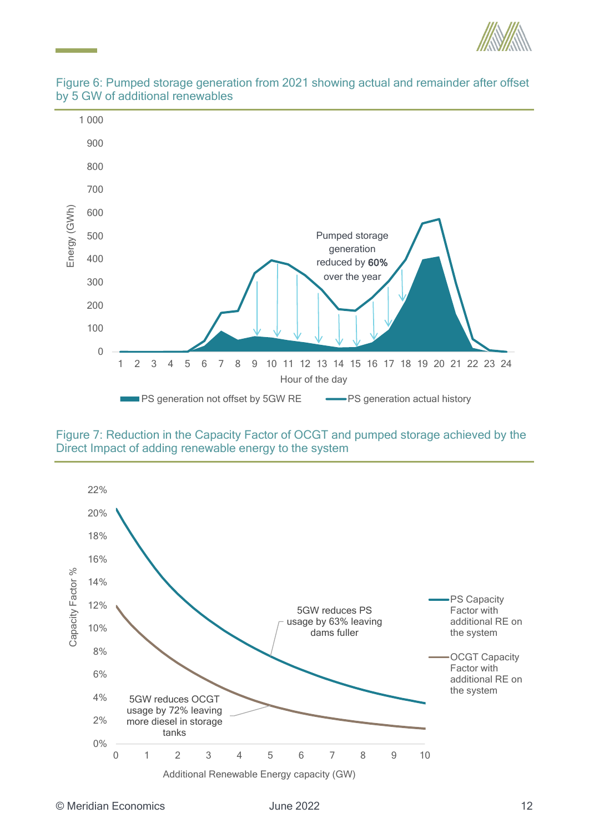



### <span id="page-19-0"></span>Figure 6: Pumped storage generation from 2021 showing actual and remainder after offset by 5 GW of additional renewables

<span id="page-19-1"></span>Figure 7: Reduction in the Capacity Factor of OCGT and pumped storage achieved by the Direct Impact of adding renewable energy to the system

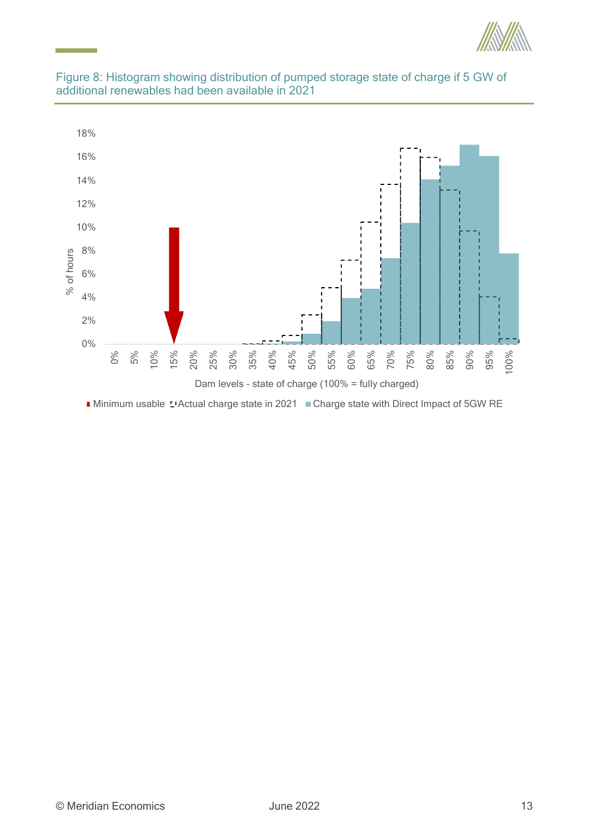

<span id="page-20-0"></span>



■ Minimum usable L'Actual charge state in 2021 ■ Charge state with Direct Impact of 5GW RE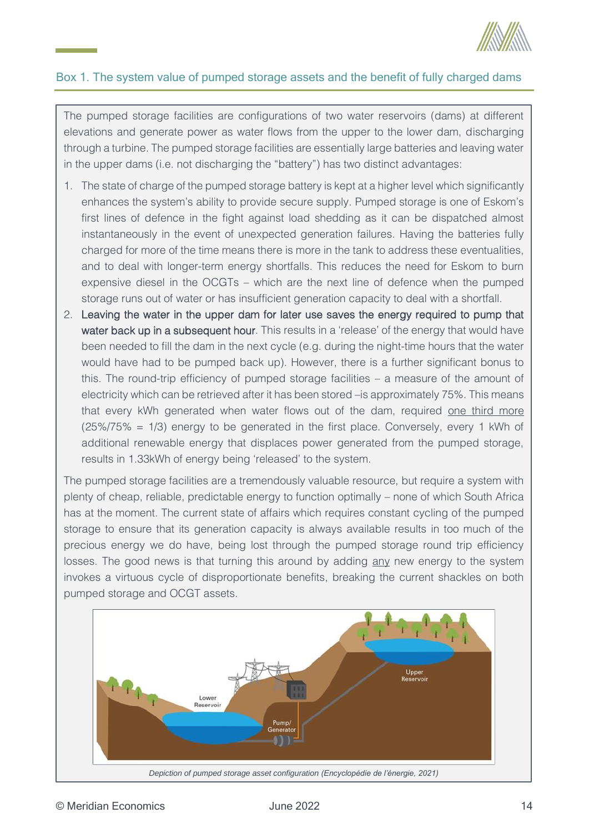

# <span id="page-21-0"></span>Box 1. The system value of pumped storage assets and the benefit of fully charged dams

The pumped storage facilities are configurations of two water reservoirs (dams) at different elevations and generate power as water flows from the upper to the lower dam, discharging through a turbine. The pumped storage facilities are essentially large batteries and leaving water in the upper dams (i.e. not discharging the "battery") has two distinct advantages:

- 1. The state of charge of the pumped storage battery is kept at a higher level which significantly enhances the system's ability to provide secure supply. Pumped storage is one of Eskom's first lines of defence in the fight against load shedding as it can be dispatched almost instantaneously in the event of unexpected generation failures. Having the batteries fully charged for more of the time means there is more in the tank to address these eventualities, and to deal with longer-term energy shortfalls. This reduces the need for Eskom to burn expensive diesel in the OCGTs – which are the next line of defence when the pumped storage runs out of water or has insufficient generation capacity to deal with a shortfall.
- 2. Leaving the water in the upper dam for later use saves the energy required to pump that water back up in a subsequent hour. This results in a 'release' of the energy that would have been needed to fill the dam in the next cycle (e.g. during the night-time hours that the water would have had to be pumped back up). However, there is a further significant bonus to this. The round-trip efficiency of pumped storage facilities – a measure of the amount of electricity which can be retrieved after it has been stored –is approximately 75%. This means that every kWh generated when water flows out of the dam, required one third more (25%/75% = 1/3) energy to be generated in the first place. Conversely, every 1 kWh of additional renewable energy that displaces power generated from the pumped storage, results in 1.33kWh of energy being 'released' to the system.

The pumped storage facilities are a tremendously valuable resource, but require a system with plenty of cheap, reliable, predictable energy to function optimally – none of which South Africa has at the moment. The current state of affairs which requires constant cycling of the pumped storage to ensure that its generation capacity is always available results in too much of the precious energy we do have, being lost through the pumped storage round trip efficiency losses. The good news is that turning this around by adding any new energy to the system invokes a virtuous cycle of disproportionate benefits, breaking the current shackles on both pumped storage and OCGT assets.

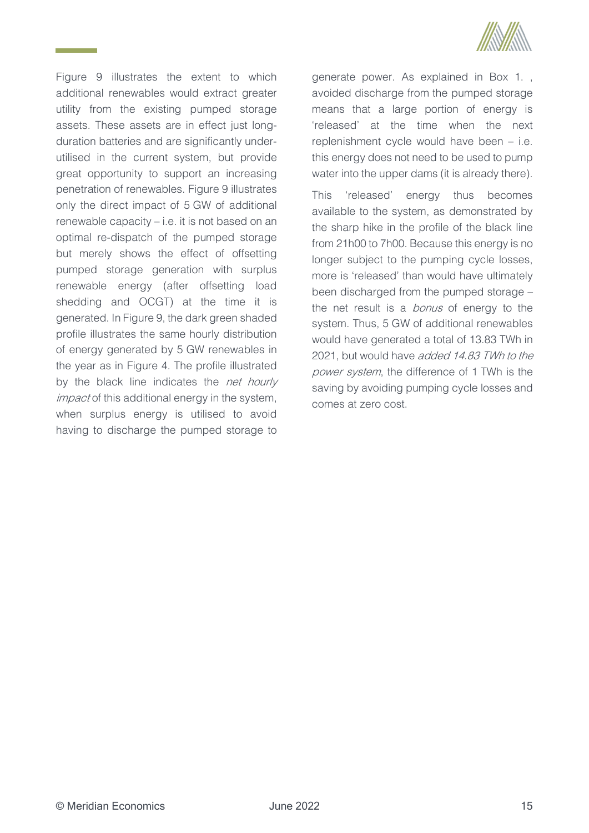

[Figure 9](#page-23-0) illustrates the extent to which additional renewables would extract greater utility from the existing pumped storage assets. These assets are in effect just longduration batteries and are significantly underutilised in the current system, but provide great opportunity to support an increasing penetration of renewables. [Figure 9](#page-23-0) illustrates only the direct impact of 5 GW of additional renewable capacity – i.e. it is not based on an optimal re-dispatch of the pumped storage but merely shows the effect of offsetting pumped storage generation with surplus renewable energy (after offsetting load shedding and OCGT) at the time it is generated. In [Figure 9,](#page-23-0) the dark green shaded profile illustrates the same hourly distribution of energy generated by 5 GW renewables in the year as in [Figure 4.](#page-17-0) The profile illustrated by the black line indicates the net hourly *impact* of this additional energy in the system, when surplus energy is utilised to avoid having to discharge the pumped storage to

generate power. As explained in [Box 1. ,](#page-21-0) avoided discharge from the pumped storage means that a large portion of energy is 'released' at the time when the next replenishment cycle would have been – i.e. this energy does not need to be used to pump water into the upper dams (it is already there).

This 'released' energy thus becomes available to the system, as demonstrated by the sharp hike in the profile of the black line from 21h00 to 7h00. Because this energy is no longer subject to the pumping cycle losses, more is 'released' than would have ultimately been discharged from the pumped storage – the net result is a *bonus* of energy to the system. Thus, 5 GW of additional renewables would have generated a total of 13.83 TWh in 2021, but would have added 14.83 TWh to the power system, the difference of 1 TWh is the saving by avoiding pumping cycle losses and comes at zero cost.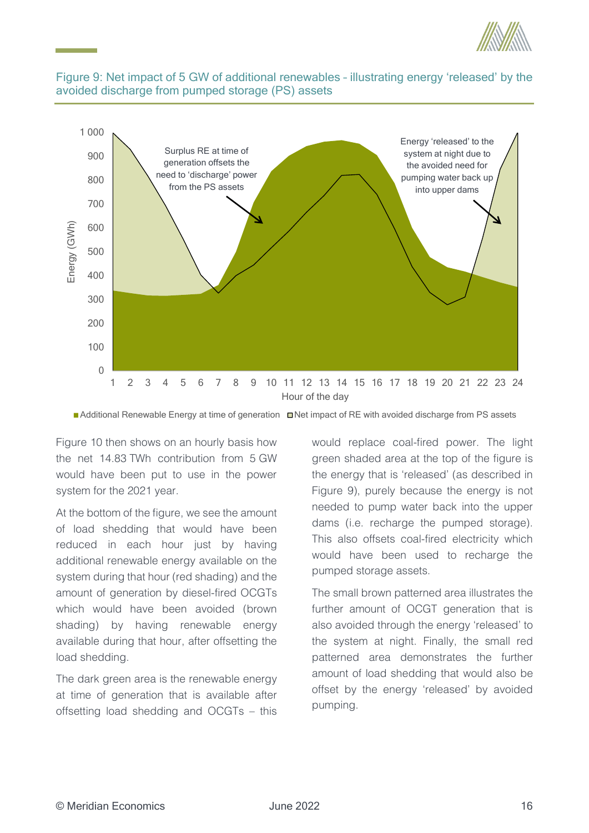

### <span id="page-23-0"></span>Figure 9: Net impact of 5 GW of additional renewables – illustrating energy 'released' by the avoided discharge from pumped storage (PS) assets



Additional Renewable Energy at time of generation  $\Box$  Net impact of RE with avoided discharge from PS assets

[Figure 10](#page-24-1) then shows on an hourly basis how the net 14.83 TWh contribution from 5 GW would have been put to use in the power system for the 2021 year.

At the bottom of the figure, we see the amount of load shedding that would have been reduced in each hour just by having additional renewable energy available on the system during that hour (red shading) and the amount of generation by diesel-fired OCGTs which would have been avoided (brown shading) by having renewable energy available during that hour, after offsetting the load shedding.

The dark green area is the renewable energy at time of generation that is available after offsetting load shedding and OCGTs – this

would replace coal-fired power. The light green shaded area at the top of the figure is the energy that is 'released' (as described in [Figure 9\)](#page-23-0), purely because the energy is not needed to pump water back into the upper dams (i.e. recharge the pumped storage). This also offsets coal-fired electricity which would have been used to recharge the pumped storage assets.

The small brown patterned area illustrates the further amount of OCGT generation that is also avoided through the energy 'released' to the system at night. Finally, the small red patterned area demonstrates the further amount of load shedding that would also be offset by the energy 'released' by avoided pumping.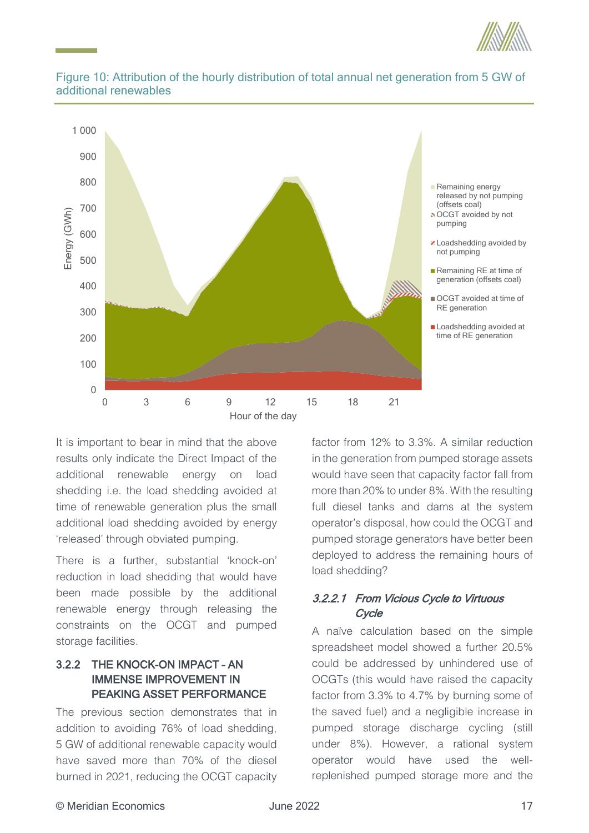



# <span id="page-24-1"></span>Figure 10: Attribution of the hourly distribution of total annual net generation from 5 GW of additional renewables

It is important to bear in mind that the above results only indicate the Direct Impact of the additional renewable energy on load shedding i.e. the load shedding avoided at time of renewable generation plus the small additional load shedding avoided by energy 'released' through obviated pumping.

There is a further, substantial 'knock-on' reduction in load shedding that would have been made possible by the additional renewable energy through releasing the constraints on the OCGT and pumped storage facilities.

# <span id="page-24-0"></span>3.2.2 THE KNOCK-ON IMPACT – AN IMMENSE IMPROVEMENT IN PEAKING ASSET PERFORMANCE

The previous section demonstrates that in addition to avoiding 76% of load shedding, 5 GW of additional renewable capacity would have saved more than 70% of the diesel burned in 2021, reducing the OCGT capacity

factor from 12% to 3.3%. A similar reduction in the generation from pumped storage assets would have seen that capacity factor fall from more than 20% to under 8%. With the resulting full diesel tanks and dams at the system operator's disposal, how could the OCGT and pumped storage generators have better been deployed to address the remaining hours of load shedding?

# 3.2.2.1 From Vicious Cycle to Virtuous **Cycle**

A naïve calculation based on the simple spreadsheet model showed a further 20.5% could be addressed by unhindered use of OCGTs (this would have raised the capacity factor from 3.3% to 4.7% by burning some of the saved fuel) and a negligible increase in pumped storage discharge cycling (still under 8%). However, a rational system operator would have used the wellreplenished pumped storage more and the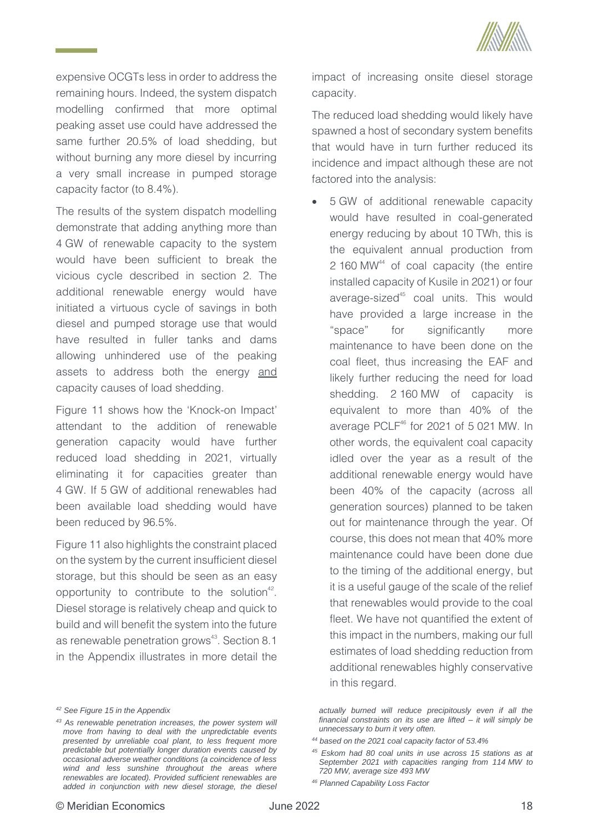

expensive OCGTs less in order to address the remaining hours. Indeed, the system dispatch modelling confirmed that more optimal peaking asset use could have addressed the same further 20.5% of load shedding, but without burning any more diesel by incurring a very small increase in pumped storage capacity factor (to 8.4%).

The results of the system dispatch modelling demonstrate that adding anything more than 4 GW of renewable capacity to the system would have been sufficient to break the vicious cycle described in section [2.](#page-9-0) The additional renewable energy would have initiated a virtuous cycle of savings in both diesel and pumped storage use that would have resulted in fuller tanks and dams allowing unhindered use of the peaking assets to address both the energy and capacity causes of load shedding.

[Figure 11](#page-26-0) shows how the 'Knock-on Impact' attendant to the addition of renewable generation capacity would have further reduced load shedding in 2021, virtually eliminating it for capacities greater than 4 GW. If 5 GW of additional renewables had been available load shedding would have been reduced by 96.5%.

[Figure 11](#page-26-0) also highlights the constraint placed on the system by the current insufficient diesel storage, but this should be seen as an easy opportunity to contribute to the solution<sup>42</sup>. Diesel storage is relatively cheap and quick to build and will benefit the system into the future as renewable penetration grows<sup>43</sup>. Sectio[n 8.1](#page-37-1) in the Appendix illustrates in more detail the impact of increasing onsite diesel storage capacity.

The reduced load shedding would likely have spawned a host of secondary system benefits that would have in turn further reduced its incidence and impact although these are not factored into the analysis:

• 5 GW of additional renewable capacity would have resulted in coal-generated energy reducing by about 10 TWh, this is the equivalent annual production from 2 160 MW<sup>44</sup> of coal capacity (the entire installed capacity of Kusile in 2021) or four average-sized<sup>45</sup> coal units. This would have provided a large increase in the "space" for significantly more maintenance to have been done on the coal fleet, thus increasing the EAF and likely further reducing the need for load shedding. 2 160 MW of capacity is equivalent to more than 40% of the average PCL $F^{46}$  for 2021 of 5 021 MW. In other words, the equivalent coal capacity idled over the year as a result of the additional renewable energy would have been 40% of the capacity (across all generation sources) planned to be taken out for maintenance through the year. Of course, this does not mean that 40% more maintenance could have been done due to the timing of the additional energy, but it is a useful gauge of the scale of the relief that renewables would provide to the coal fleet. We have not quantified the extent of this impact in the numbers, making our full estimates of load shedding reduction from additional renewables highly conservative in this regard.

*<sup>42</sup> See [Figure 15](#page-40-2) in the Appendix*

*<sup>43</sup> As renewable penetration increases, the power system will move from having to deal with the unpredictable events presented by unreliable coal plant, to less frequent more predictable but potentially longer duration events caused by occasional adverse weather conditions (a coincidence of less wind and less sunshine throughout the areas where renewables are located). Provided sufficient renewables are added in conjunction with new diesel storage, the diesel* 

*actually burned will reduce precipitously even if all the financial constraints on its use are lifted – it will simply be unnecessary to burn it very often.*

*<sup>44</sup> based on the 2021 coal capacity factor of 53.4%*

*<sup>45</sup> Eskom had 80 coal units in use across 15 stations as at September 2021 with capacities ranging from 114 MW to 720 MW, average size 493 MW*

*<sup>46</sup> Planned Capability Loss Factor*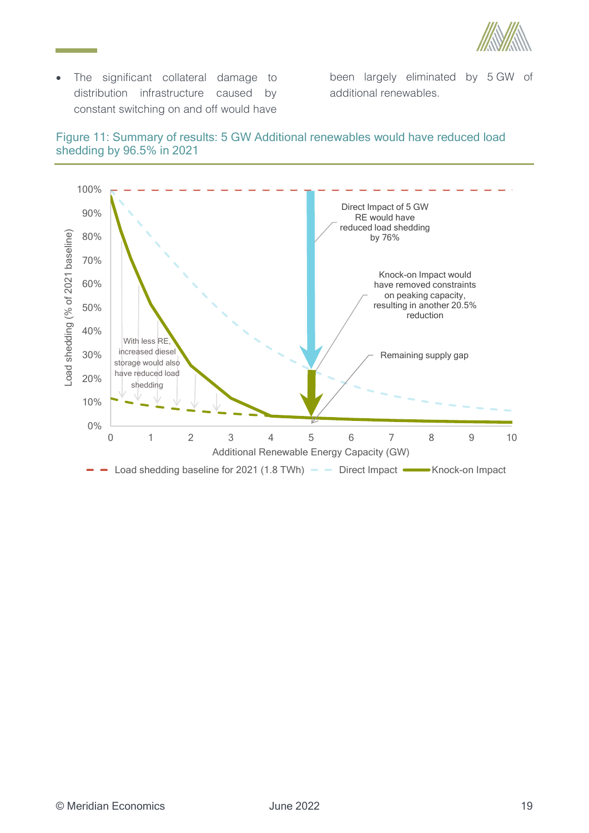

• The significant collateral damage to distribution infrastructure caused by constant switching on and off would have

been largely eliminated by 5 GW of additional renewables.

<span id="page-26-0"></span>

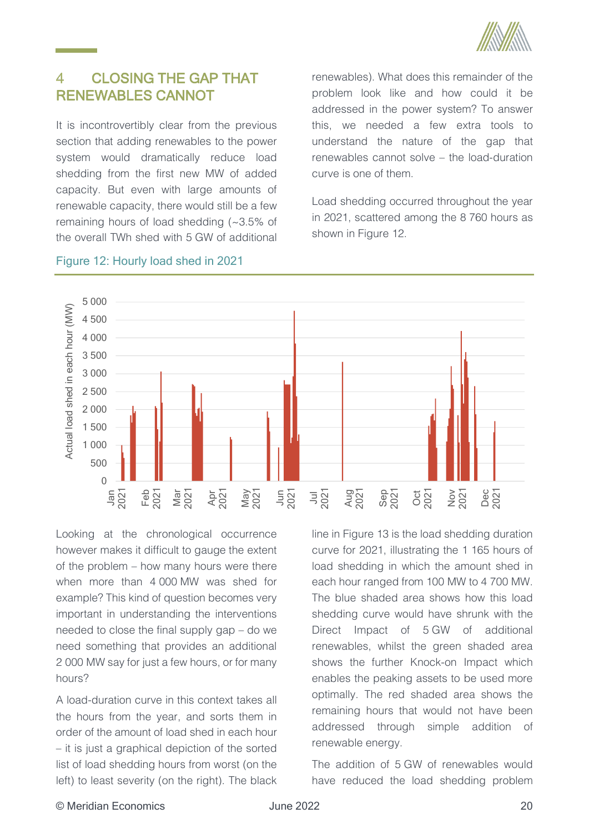

#### <span id="page-27-0"></span> $\overline{4}$ CLOSING THE GAP THAT RENEWABLES CANNOT

It is incontrovertibly clear from the previous section that adding renewables to the power system would dramatically reduce load shedding from the first new MW of added capacity. But even with large amounts of renewable capacity, there would still be a few remaining hours of load shedding (~3.5% of the overall TWh shed with 5 GW of additional

renewables). What does this remainder of the problem look like and how could it be addressed in the power system? To answer this, we needed a few extra tools to understand the nature of the gap that renewables cannot solve – the load-duration curve is one of them.

Load shedding occurred throughout the year in 2021, scattered among the 8 760 hours as shown in [Figure 12.](#page-27-1)



## <span id="page-27-1"></span>Figure 12: Hourly load shed in 2021

Looking at the chronological occurrence however makes it difficult to gauge the extent of the problem – how many hours were there when more than 4 000 MW was shed for example? This kind of question becomes very important in understanding the interventions needed to close the final supply gap – do we need something that provides an additional 2 000 MW say for just a few hours, or for many hours?

A load-duration curve in this context takes all the hours from the year, and sorts them in order of the amount of load shed in each hour – it is just a graphical depiction of the sorted list of load shedding hours from worst (on the left) to least severity (on the right). The black line in [Figure 13](#page-28-1) is the load shedding duration curve for 2021, illustrating the 1 165 hours of load shedding in which the amount shed in each hour ranged from 100 MW to 4 700 MW. The blue shaded area shows how this load shedding curve would have shrunk with the Direct Impact of 5 GW of additional renewables, whilst the green shaded area shows the further Knock-on Impact which enables the peaking assets to be used more optimally. The red shaded area shows the remaining hours that would not have been addressed through simple addition of renewable energy.

The addition of 5 GW of renewables would have reduced the load shedding problem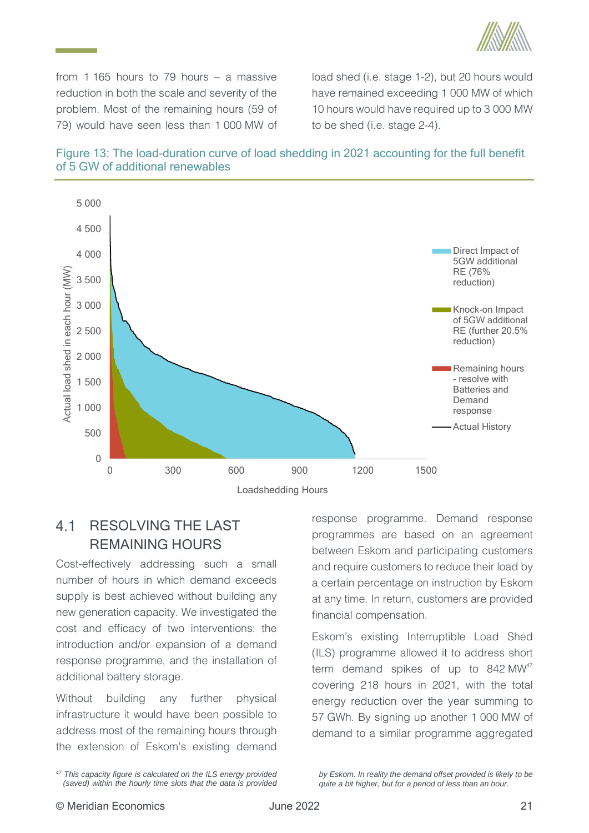

from 1 165 hours to 79 hours – a massive reduction in both the scale and severity of the problem. Most of the remaining hours (59 of 79) would have seen less than 1 000 MW of load shed (i.e. stage 1-2), but 20 hours would have remained exceeding 1 000 MW of which 10 hours would have required up to 3 000 MW to be shed (i.e. stage 2-4).

<span id="page-28-1"></span>



### <span id="page-28-0"></span> $4<sub>1</sub>$ RESOLVING THE LAST REMAINING HOURS

Cost-effectively addressing such a small number of hours in which demand exceeds supply is best achieved without building any new generation capacity. We investigated the cost and efficacy of two interventions: the introduction and/or expansion of a demand response programme, and the installation of additional battery storage.

Without building any further physical infrastructure it would have been possible to address most of the remaining hours through the extension of Eskom's existing demand

response programme. Demand response programmes are based on an agreement between Eskom and participating customers and require customers to reduce their load by a certain percentage on instruction by Eskom at any time. In return, customers are provided financial compensation.

Eskom's existing Interruptible Load Shed (ILS) programme allowed it to address short term demand spikes of up to  $842 \text{ MW}^{47}$ covering 218 hours in 2021, with the total energy reduction over the year summing to 57 GWh. By signing up another 1 000 MW of demand to a similar programme aggregated

*by Eskom. In reality the demand offset provided is likely to be quite a bit higher, but for a period of less than an hour.*

*<sup>47</sup> This capacity figure is calculated on the ILS energy provided (saved) within the hourly time slots that the data is provided*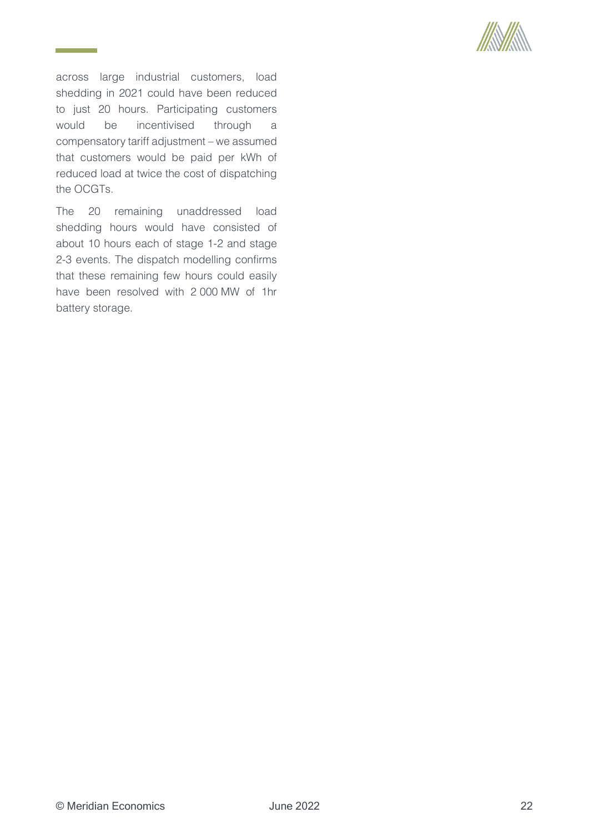

across large industrial customers, load shedding in 2021 could have been reduced to just 20 hours. Participating customers would be incentivised through a compensatory tariff adjustment – we assumed that customers would be paid per kWh of reduced load at twice the cost of dispatching the OCGTs.

**Contract Contract** 

The 20 remaining unaddressed load shedding hours would have consisted of about 10 hours each of stage 1-2 and stage 2-3 events. The dispatch modelling confirms that these remaining few hours could easily have been resolved with 2 000 MW of 1hr battery storage.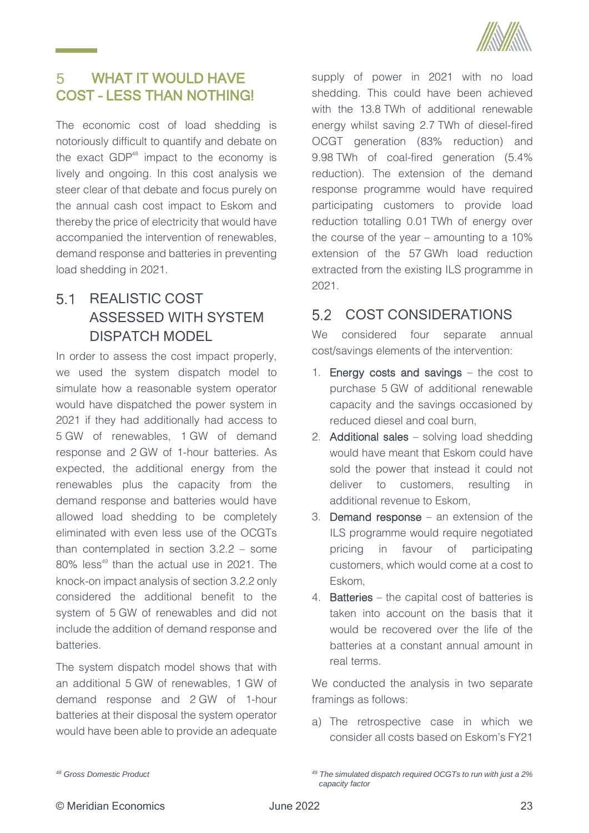

### <span id="page-30-0"></span>WHAT IT WOULD HAVE 5 COST – LESS THAN NOTHING!

The economic cost of load shedding is notoriously difficult to quantify and debate on the exact  $GDP<sup>48</sup>$  impact to the economy is lively and ongoing. In this cost analysis we steer clear of that debate and focus purely on the annual cash cost impact to Eskom and thereby the price of electricity that would have accompanied the intervention of renewables, demand response and batteries in preventing load shedding in 2021.

## <span id="page-30-1"></span> $51$ REALISTIC COST ASSESSED WITH SYSTEM DISPATCH MODEL

In order to assess the cost impact properly, we used the system dispatch model to simulate how a reasonable system operator would have dispatched the power system in 2021 if they had additionally had access to 5 GW of renewables, 1 GW of demand response and 2 GW of 1-hour batteries. As expected, the additional energy from the renewables plus the capacity from the demand response and batteries would have allowed load shedding to be completely eliminated with even less use of the OCGTs than contemplated in section [3.2.2](#page-24-0) – some 80% less<sup>49</sup> than the actual use in 2021. The knock-on impact analysis of sectio[n 3.2.2](#page-24-0) only considered the additional benefit to the system of 5 GW of renewables and did not include the addition of demand response and batteries.

The system dispatch model shows that with an additional 5 GW of renewables, 1 GW of demand response and 2 GW of 1-hour batteries at their disposal the system operator would have been able to provide an adequate supply of power in 2021 with no load shedding. This could have been achieved with the 13.8 TWh of additional renewable energy whilst saving 2.7 TWh of diesel-fired OCGT generation (83% reduction) and 9.98 TWh of coal-fired generation (5.4% reduction). The extension of the demand response programme would have required participating customers to provide load reduction totalling 0.01 TWh of energy over the course of the year – amounting to a 10% extension of the 57 GWh load reduction extracted from the existing ILS programme in 2021.

#### <span id="page-30-2"></span>5.2 COST CONSIDERATIONS

We considered four separate annual cost/savings elements of the intervention:

- 1. Energy costs and savings the cost to purchase 5 GW of additional renewable capacity and the savings occasioned by reduced diesel and coal burn,
- 2. Additional sales solving load shedding would have meant that Eskom could have sold the power that instead it could not deliver to customers, resulting in additional revenue to Eskom,
- 3. Demand response an extension of the ILS programme would require negotiated pricing in favour of participating customers, which would come at a cost to Eskom,
- 4. Batteries the capital cost of batteries is taken into account on the basis that it would be recovered over the life of the batteries at a constant annual amount in real terms.

We conducted the analysis in two separate framings as follows:

a) The retrospective case in which we consider all costs based on Eskom's FY21

*<sup>48</sup> Gross Domestic Product*

*<sup>49</sup> The simulated dispatch required OCGTs to run with just a 2% capacity factor*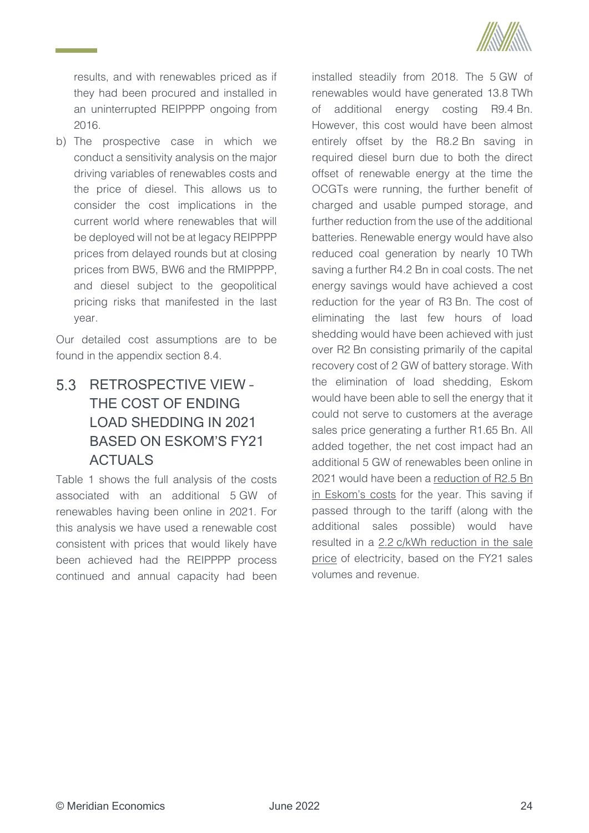

results, and with renewables priced as if they had been procured and installed in an uninterrupted REIPPPP ongoing from 2016.

b) The prospective case in which we conduct a sensitivity analysis on the major driving variables of renewables costs and the price of diesel. This allows us to consider the cost implications in the current world where renewables that will be deployed will not be at legacy REIPPPP prices from delayed rounds but at closing prices from BW5, BW6 and the RMIPPPP, and diesel subject to the geopolitical pricing risks that manifested in the last year.

Our detailed cost assumptions are to be found in the appendix section [8.4.](#page-40-0)

# <span id="page-31-0"></span>5.3 RETROSPECTIVE VIEW -THE COST OF ENDING LOAD SHEDDING IN 2021 BASED ON ESKOM'S FY21 ACTUALS

[Table 1](#page-32-1) shows the full analysis of the costs associated with an additional 5 GW of renewables having been online in 2021. For this analysis we have used a renewable cost consistent with prices that would likely have been achieved had the REIPPPP process continued and annual capacity had been

installed steadily from 2018. The 5 GW of renewables would have generated 13.8 TWh of additional energy costing R9.4 Bn. However, this cost would have been almost entirely offset by the R8.2 Bn saving in required diesel burn due to both the direct offset of renewable energy at the time the OCGTs were running, the further benefit of charged and usable pumped storage, and further reduction from the use of the additional batteries. Renewable energy would have also reduced coal generation by nearly 10 TWh saving a further R4.2 Bn in coal costs. The net energy savings would have achieved a cost reduction for the year of R3 Bn. The cost of eliminating the last few hours of load shedding would have been achieved with just over R2 Bn consisting primarily of the capital recovery cost of 2 GW of battery storage. With the elimination of load shedding, Eskom would have been able to sell the energy that it could not serve to customers at the average sales price generating a further R1.65 Bn. All added together, the net cost impact had an additional 5 GW of renewables been online in 2021 would have been a reduction of R2.5 Bn in Eskom's costs for the year. This saving if passed through to the tariff (along with the additional sales possible) would have resulted in a 2.2 c/kWh reduction in the sale price of electricity, based on the FY21 sales volumes and revenue.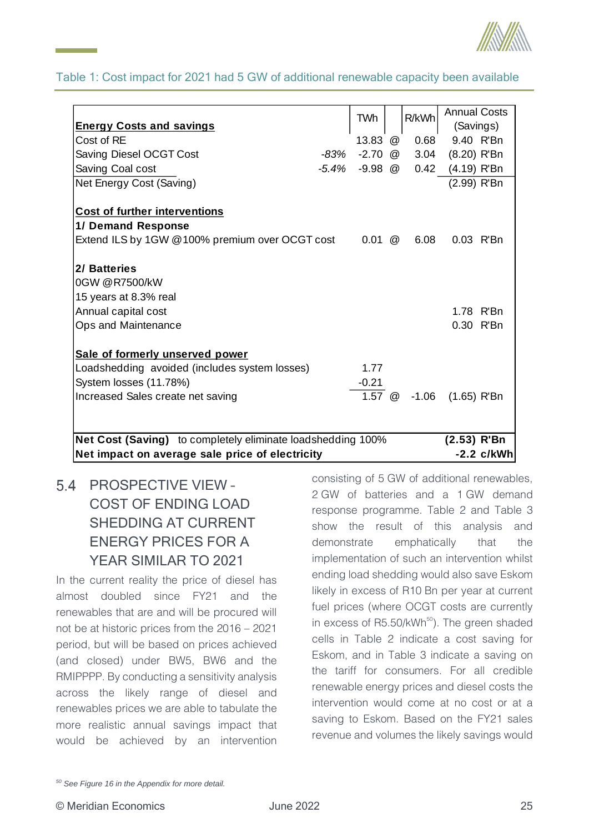

## <span id="page-32-1"></span>Table 1: Cost impact for 2021 had 5 GW of additional renewable capacity been available

|                                                             | TWh                 | R/kWh                  | <b>Annual Costs</b> |             |
|-------------------------------------------------------------|---------------------|------------------------|---------------------|-------------|
| <b>Energy Costs and savings</b>                             |                     |                        | (Savings)           |             |
| Cost of RE                                                  | 13.83 @             | 0.68                   | 9.40 R'Bn           |             |
| Saving Diesel OCGT Cost                                     |                     | $-83\%$ $-2.70$ @ 3.04 | $(8.20)$ R'Bn       |             |
| Saving Coal cost                                            | -5.4% -9.98 @       | 0.42                   | (4.19) R'Bn         |             |
| Net Energy Cost (Saving)                                    |                     |                        | (2.99) R'Bn         |             |
| <b>Cost of further interventions</b><br>1/ Demand Response  |                     |                        |                     |             |
|                                                             |                     |                        |                     |             |
| Extend ILS by 1GW @100% premium over OCGT cost              | $0.01 \circledcirc$ | 6.08                   | 0.03 R'Bn           |             |
| 2/ Batteries                                                |                     |                        |                     |             |
| 0GW @R7500/kW                                               |                     |                        |                     |             |
| 15 years at 8.3% real                                       |                     |                        |                     |             |
| Annual capital cost                                         |                     |                        | 1.78 R'Bn           |             |
| Ops and Maintenance                                         |                     |                        | 0.30 R'Bn           |             |
| Sale of formerly unserved power                             |                     |                        |                     |             |
| Loadshedding avoided (includes system losses)               | 1.77                |                        |                     |             |
| System losses (11.78%)                                      | $-0.21$             |                        |                     |             |
| Increased Sales create net saving                           |                     | 1.57 @ -1.06           | $(1.65)$ R'Bn       |             |
|                                                             |                     |                        |                     |             |
| Net Cost (Saving) to completely eliminate loadshedding 100% |                     |                        | $(2.53)$ R'Bn       |             |
| Net impact on average sale price of electricity             |                     |                        |                     | -2.2 c/kWhl |

<span id="page-32-0"></span>5.4 PROSPECTIVE VIEW -COST OF ENDING LOAD SHEDDING AT CURRENT ENERGY PRICES FOR A YEAR SIMILAR TO 2021

In the current reality the price of diesel has almost doubled since FY21 and the renewables that are and will be procured will not be at historic prices from the 2016 – 2021 period, but will be based on prices achieved (and closed) under BW5, BW6 and the RMIPPPP. By conducting a sensitivity analysis across the likely range of diesel and renewables prices we are able to tabulate the more realistic annual savings impact that would be achieved by an intervention consisting of 5 GW of additional renewables, 2 GW of batteries and a 1 GW demand response programme. [Table 2](#page-33-0) and [Table 3](#page-33-1) show the result of this analysis and demonstrate emphatically that the implementation of such an intervention whilst ending load shedding would also save Eskom likely in excess of R10 Bn per year at current fuel prices (where OCGT costs are currently in excess of R5.50/kWh<sup>50</sup>). The green shaded cells in [Table 2](#page-33-0) indicate a cost saving for Eskom, and in [Table 3](#page-33-1) indicate a saving on the tariff for consumers. For all credible renewable energy prices and diesel costs the intervention would come at no cost or at a saving to Eskom. Based on the FY21 sales revenue and volumes the likely savings would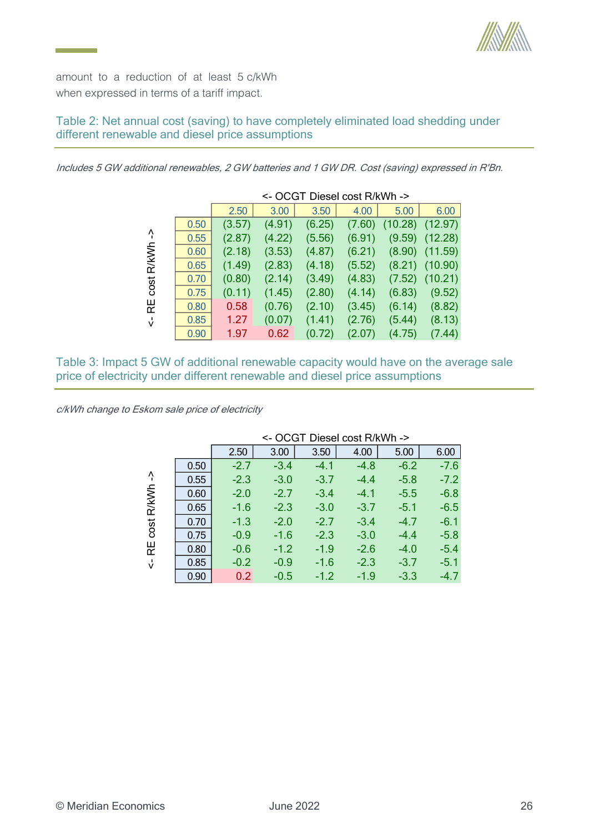

amount to a reduction of at least 5 c/kWh when expressed in terms of a tariff impact.

## <span id="page-33-0"></span>Table 2: Net annual cost (saving) to have completely eliminated load shedding under different renewable and diesel price assumptions

Includes 5 GW additional renewables, 2 GW batteries and 1 GW DR. Cost (saving) expressed in R'Bn.

|       |      | <- OCGT Diesel cost R/kWh -> |        |        |        |         |         |  |  |
|-------|------|------------------------------|--------|--------|--------|---------|---------|--|--|
|       |      | 2.50                         | 3.00   | 3.50   | 4.00   | 5.00    | 6.00    |  |  |
|       | 0.50 | (3.57)                       | (4.91) | (6.25) | (7.60) | (10.28) | (12.97) |  |  |
| Ą     | 0.55 | (2.87)                       | (4.22) | (5.56) | (6.91) | (9.59)  | (12.28) |  |  |
| R/kWh | 0.60 | (2.18)                       | (3.53) | (4.87) | (6.21) | (8.90)  | (11.59) |  |  |
|       | 0.65 | (1.49)                       | (2.83) | (4.18) | (5.52) | (8.21)  | (10.90) |  |  |
| cost  | 0.70 | (0.80)                       | (2.14) | (3.49) | (4.83) | (7.52)  | (10.21) |  |  |
|       | 0.75 | (0.11)                       | (1.45) | (2.80) | (4.14) | (6.83)  | (9.52)  |  |  |
| 운     | 0.80 | 0.58                         | (0.76) | (2.10) | (3.45) | (6.14)  | (8.82)  |  |  |
| Ϋ́    | 0.85 | 1.27                         | (0.07) | (1.41) | (2.76) | (5.44)  | (8.13)  |  |  |
|       | 0.90 | 1.97                         | 0.62   | (0.72) | (2.07) | (4.75)  | (7.44)  |  |  |

<span id="page-33-1"></span>Table 3: Impact 5 GW of additional renewable capacity would have on the average sale price of electricity under different renewable and diesel price assumptions

c/kWh change to Eskom sale price of electricity

|            |      | <- OCGT Diesel cost R/kWh -> |        |        |        |        |        |  |
|------------|------|------------------------------|--------|--------|--------|--------|--------|--|
|            |      | 2.50                         | 3.00   | 3.50   | 4.00   | 5.00   | 6.00   |  |
|            | 0.50 | $-2.7$                       | $-3.4$ | $-4.1$ | $-4.8$ | $-6.2$ | $-7.6$ |  |
| $\Lambda$  | 0.55 | $-2.3$                       | $-3.0$ | $-3.7$ | $-4.4$ | $-5.8$ | $-7.2$ |  |
|            | 0.60 | $-2.0$                       | $-2.7$ | $-3.4$ | $-4.1$ | $-5.5$ | $-6.8$ |  |
| cost R/kWh | 0.65 | $-1.6$                       | $-2.3$ | $-3.0$ | $-3.7$ | $-5.1$ | $-6.5$ |  |
|            | 0.70 | $-1.3$                       | $-2.0$ | $-2.7$ | $-3.4$ | $-4.7$ | $-6.1$ |  |
|            | 0.75 | $-0.9$                       | $-1.6$ | $-2.3$ | $-3.0$ | $-4.4$ | $-5.8$ |  |
| 巴          | 0.80 | $-0.6$                       | $-1.2$ | $-1.9$ | $-2.6$ | $-4.0$ | $-5.4$ |  |
| $\sqrt{ }$ | 0.85 | $-0.2$                       | $-0.9$ | $-1.6$ | $-2.3$ | $-3.7$ | $-5.1$ |  |
|            | 0.90 | 0.2                          | $-0.5$ | $-1.2$ | $-1.9$ | $-3.3$ | $-4.7$ |  |

<- OCGT Diesel cost R/kWh ->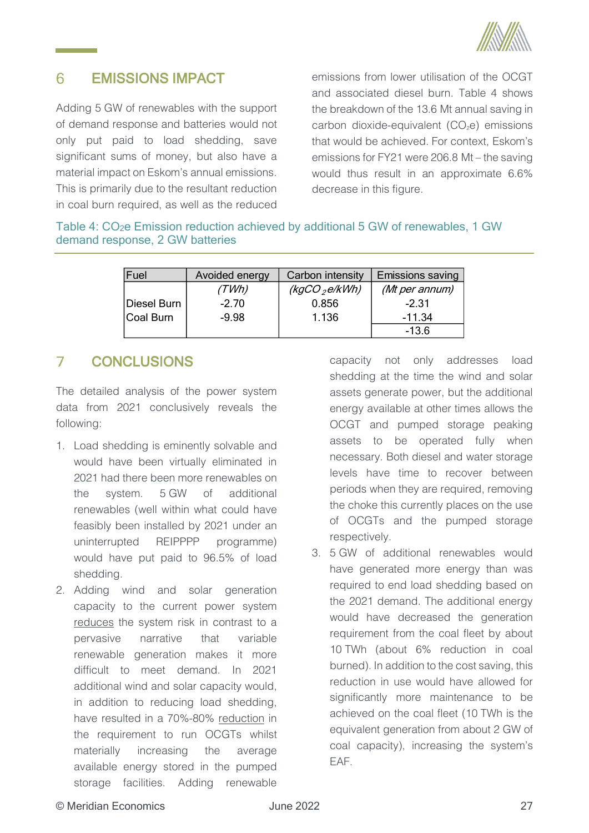

#### <span id="page-34-0"></span>6 EMISSIONS IMPACT

Adding 5 GW of renewables with the support of demand response and batteries would not only put paid to load shedding, save significant sums of money, but also have a material impact on Eskom's annual emissions. This is primarily due to the resultant reduction in coal burn required, as well as the reduced

emissions from lower utilisation of the OCGT and associated diesel burn. [Table 4](#page-34-2) shows the breakdown of the 13.6 Mt annual saving in carbon dioxide-equivalent  $(CO<sub>2</sub>e)$  emissions that would be achieved. For context, Eskom's emissions for FY21 were 206.8 Mt – the saving would thus result in an approximate 6.6% decrease in this figure.

<span id="page-34-2"></span>Table 4: CO<sub>2</sub>e Emission reduction achieved by additional 5 GW of renewables, 1 GW demand response, 2 GW batteries

| Fuel        | Avoided energy | Carbon intensity | Emissions saving |
|-------------|----------------|------------------|------------------|
|             | (TWh)          | $(kgCO_2e/kWh)$  | (Mt per annum)   |
| Diesel Burn | $-2.70$        | 0.856            | $-2.31$          |
| Coal Burn   | $-9.98$        | 1.136            | $-11.34$         |
|             |                |                  | $-13.6$          |

#### <span id="page-34-1"></span> $\mathcal{I}$ **CONCLUSIONS**

The detailed analysis of the power system data from 2021 conclusively reveals the following:

- 1. Load shedding is eminently solvable and would have been virtually eliminated in 2021 had there been more renewables on the system. 5 GW of additional renewables (well within what could have feasibly been installed by 2021 under an uninterrupted REIPPPP programme) would have put paid to 96.5% of load shedding.
- 2. Adding wind and solar generation capacity to the current power system reduces the system risk in contrast to a pervasive narrative that variable renewable generation makes it more difficult to meet demand. In 2021 additional wind and solar capacity would, in addition to reducing load shedding, have resulted in a 70%-80% reduction in the requirement to run OCGTs whilst materially increasing the average available energy stored in the pumped storage facilities. Adding renewable

capacity not only addresses load shedding at the time the wind and solar assets generate power, but the additional energy available at other times allows the OCGT and pumped storage peaking assets to be operated fully when necessary. Both diesel and water storage levels have time to recover between periods when they are required, removing the choke this currently places on the use of OCGTs and the pumped storage respectively.

3. 5 GW of additional renewables would have generated more energy than was required to end load shedding based on the 2021 demand. The additional energy would have decreased the generation requirement from the coal fleet by about 10 TWh (about 6% reduction in coal burned). In addition to the cost saving, this reduction in use would have allowed for significantly more maintenance to be achieved on the coal fleet (10 TWh is the equivalent generation from about 2 GW of coal capacity), increasing the system's EAF.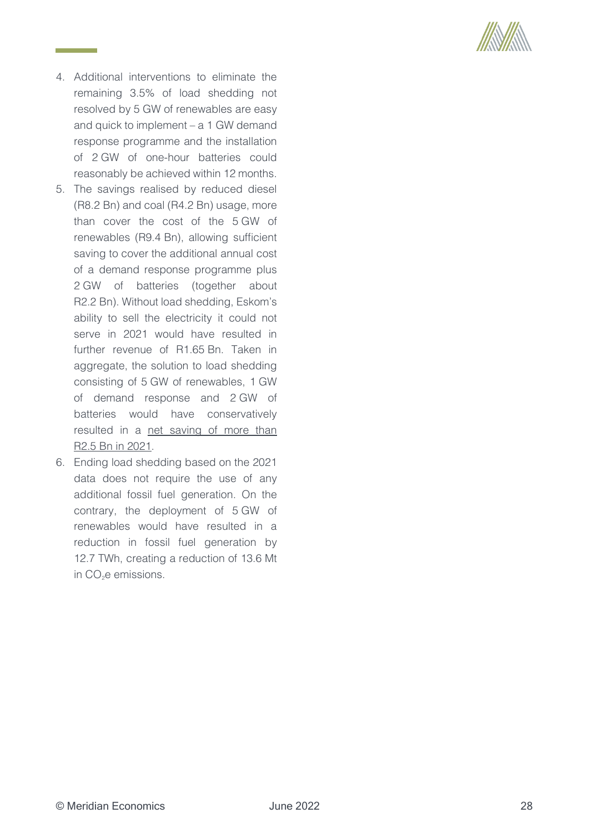

- 4. Additional interventions to eliminate the remaining 3.5% of load shedding not resolved by 5 GW of renewables are easy and quick to implement – a 1 GW demand response programme and the installation of 2 GW of one-hour batteries could reasonably be achieved within 12 months.
- 5. The savings realised by reduced diesel (R8.2 Bn) and coal (R4.2 Bn) usage, more than cover the cost of the 5 GW of renewables (R9.4 Bn), allowing sufficient saving to cover the additional annual cost of a demand response programme plus 2 GW of batteries (together about R2.2 Bn). Without load shedding, Eskom's ability to sell the electricity it could not serve in 2021 would have resulted in further revenue of R1.65 Bn. Taken in aggregate, the solution to load shedding consisting of 5 GW of renewables, 1 GW of demand response and 2 GW of batteries would have conservatively resulted in a net saving of more than R2.5 Bn in 2021.
- 6. Ending load shedding based on the 2021 data does not require the use of any additional fossil fuel generation. On the contrary, the deployment of 5 GW of renewables would have resulted in a reduction in fossil fuel generation by 12.7 TWh, creating a reduction of 13.6 Mt in CO<sub>2</sub>e emissions.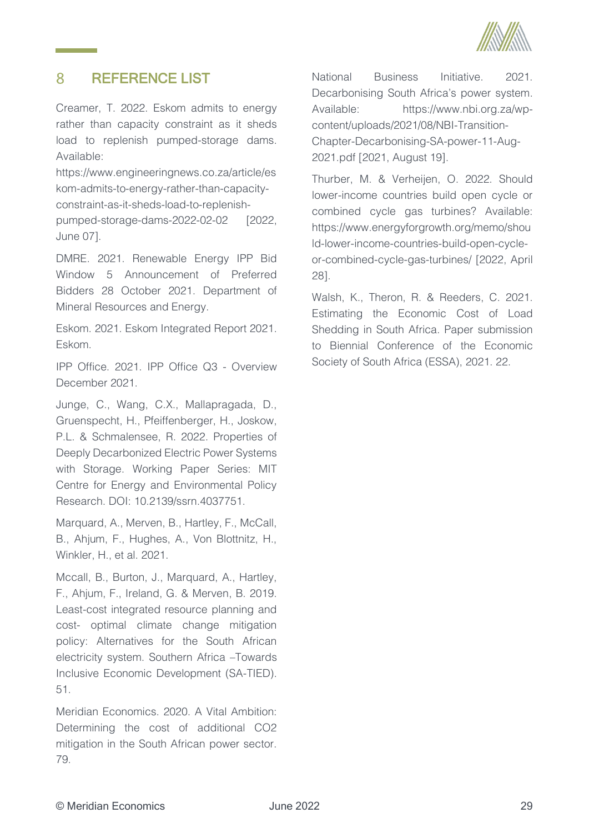

#### <span id="page-36-0"></span>8 REFERENCE LIST

Creamer, T. 2022. Eskom admits to energy rather than capacity constraint as it sheds load to replenish pumped-storage dams. Available:

https://www.engineeringnews.co.za/article/es kom-admits-to-energy-rather-than-capacityconstraint-as-it-sheds-load-to-replenishpumped-storage-dams-2022-02-02 [2022, June 07].

DMRE. 2021. Renewable Energy IPP Bid Window 5 Announcement of Preferred Bidders 28 October 2021. Department of Mineral Resources and Energy.

Eskom. 2021. Eskom Integrated Report 2021. Eskom.

IPP Office. 2021. IPP Office Q3 - Overview December 2021.

Junge, C., Wang, C.X., Mallapragada, D., Gruenspecht, H., Pfeiffenberger, H., Joskow, P.L. & Schmalensee, R. 2022. Properties of Deeply Decarbonized Electric Power Systems with Storage. Working Paper Series: MIT Centre for Energy and Environmental Policy Research. DOI: 10.2139/ssrn.4037751.

Marquard, A., Merven, B., Hartley, F., McCall, B., Ahjum, F., Hughes, A., Von Blottnitz, H., Winkler, H., et al. 2021.

Mccall, B., Burton, J., Marquard, A., Hartley, F., Ahjum, F., Ireland, G. & Merven, B. 2019. Least-cost integrated resource planning and cost- optimal climate change mitigation policy: Alternatives for the South African electricity system. Southern Africa –Towards Inclusive Economic Development (SA-TIED). 51.

Meridian Economics. 2020. A Vital Ambition: Determining the cost of additional CO2 mitigation in the South African power sector. 79.

National Business Initiative. 2021. Decarbonising South Africa's power system. Available: https://www.nbi.org.za/wpcontent/uploads/2021/08/NBI-Transition-Chapter-Decarbonising-SA-power-11-Aug-2021.pdf [2021, August 19].

Thurber, M. & Verheijen, O. 2022. Should lower-income countries build open cycle or combined cycle gas turbines? Available: https://www.energyforgrowth.org/memo/shou ld-lower-income-countries-build-open-cycleor-combined-cycle-gas-turbines/ [2022, April 28].

Walsh, K., Theron, R. & Reeders, C. 2021. Estimating the Economic Cost of Load Shedding in South Africa. Paper submission to Biennial Conference of the Economic Society of South Africa (ESSA), 2021. 22.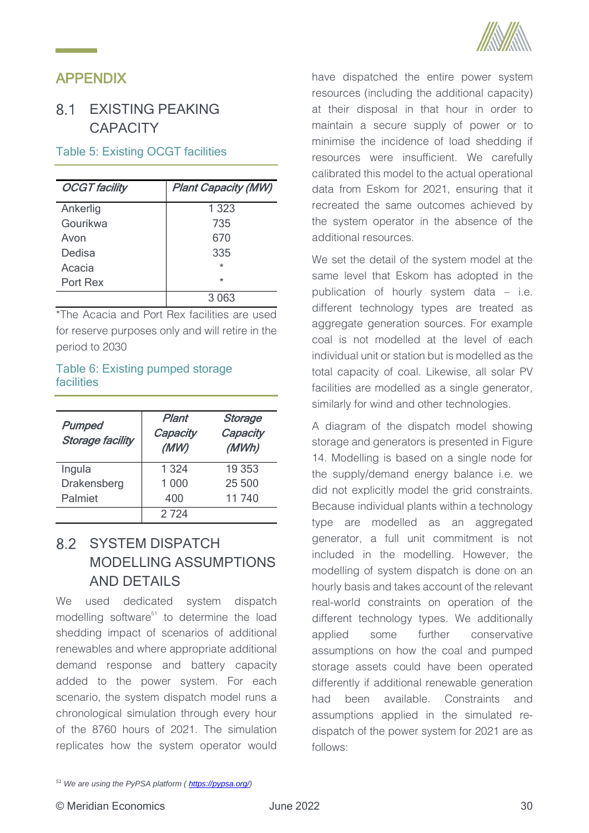# <span id="page-37-0"></span>APPENDIX

# <span id="page-37-1"></span>8.1 FXISTING PFAKING **CAPACITY**

# <span id="page-37-3"></span>Table 5: Existing OCGT facilities

| <b>OCGT</b> facility | <b>Plant Capacity (MW)</b> |
|----------------------|----------------------------|
| Ankerlig             | 1 3 2 3                    |
| Gourikwa             | 735                        |
| Avon                 | 670                        |
| Dedisa               | 335                        |
| Acacia               | $\star$                    |
| Port Rex             | $\star$                    |
|                      | 3 0 6 3                    |

\*The Acacia and Port Rex facilities are used for reserve purposes only and will retire in the period to 2030

## <span id="page-37-4"></span>Table 6: Existing pumped storage facilities

| <b>Pumped</b><br><b>Storage facility</b> | Plant<br>Capacity<br>(MW) | Storage<br>Capacity<br>(MWh) |
|------------------------------------------|---------------------------|------------------------------|
| Ingula                                   | 1 3 2 4                   | 19 353                       |
| Drakensberg                              | 1 0 0 0                   | 25 500                       |
| Palmiet                                  | 400                       | 11 740                       |
|                                          | 2 724                     |                              |

# <span id="page-37-2"></span>8.2 SYSTEM DISPATCH MODELLING ASSUMPTIONS AND DETAILS

We used dedicated system dispatch modelling software $51$  to determine the load shedding impact of scenarios of additional renewables and where appropriate additional demand response and battery capacity added to the power system. For each scenario, the system dispatch model runs a chronological simulation through every hour of the 8760 hours of 2021. The simulation replicates how the system operator would



have dispatched the entire power system resources (including the additional capacity) at their disposal in that hour in order to maintain a secure supply of power or to minimise the incidence of load shedding if resources were insufficient. We carefully calibrated this model to the actual operational data from Eskom for 2021, ensuring that it recreated the same outcomes achieved by the system operator in the absence of the additional resources.

We set the detail of the system model at the same level that Eskom has adopted in the publication of hourly system data – i.e. different technology types are treated as aggregate generation sources. For example coal is not modelled at the level of each individual unit or station but is modelled as the total capacity of coal. Likewise, all solar PV facilities are modelled as a single generator, similarly for wind and other technologies.

A diagram of the dispatch model showing storage and generators is presented in [Figure](#page-39-1)  [14.](#page-39-1) Modelling is based on a single node for the supply/demand energy balance i.e. we did not explicitly model the grid constraints. Because individual plants within a technology type are modelled as an aggregated generator, a full unit commitment is not included in the modelling. However, the modelling of system dispatch is done on an hourly basis and takes account of the relevant real-world constraints on operation of the different technology types. We additionally applied some further conservative assumptions on how the coal and pumped storage assets could have been operated differently if additional renewable generation had been available. Constraints and assumptions applied in the simulated redispatch of the power system for 2021 are as follows:

*<sup>51</sup> We are using the PyPSA platform ( [https://pypsa.org/\)](https://pypsa.org/)*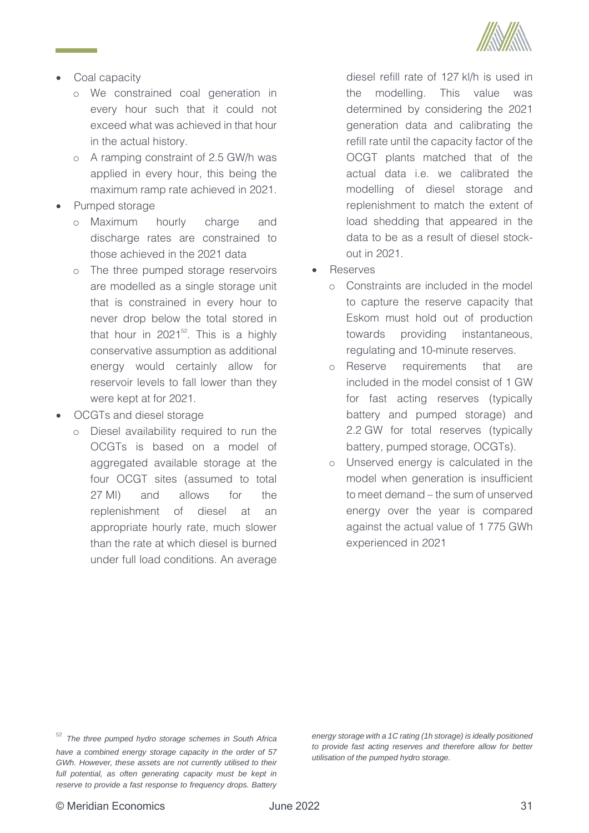

- Coal capacity
	- o We constrained coal generation in every hour such that it could not exceed what was achieved in that hour in the actual history.
	- o A ramping constraint of 2.5 GW/h was applied in every hour, this being the maximum ramp rate achieved in 2021.
- Pumped storage
	- o Maximum hourly charge and discharge rates are constrained to those achieved in the 2021 data
	- o The three pumped storage reservoirs are modelled as a single storage unit that is constrained in every hour to never drop below the total stored in that hour in 2021 $52$ . This is a highly conservative assumption as additional energy would certainly allow for reservoir levels to fall lower than they were kept at for 2021.
- OCGTs and diesel storage
	- o Diesel availability required to run the OCGTs is based on a model of aggregated available storage at the four OCGT sites (assumed to total 27 Ml) and allows for the replenishment of diesel at an appropriate hourly rate, much slower than the rate at which diesel is burned under full load conditions. An average

diesel refill rate of 127 kl/h is used in the modelling. This value was determined by considering the 2021 generation data and calibrating the refill rate until the capacity factor of the OCGT plants matched that of the actual data i.e. we calibrated the modelling of diesel storage and replenishment to match the extent of load shedding that appeared in the data to be as a result of diesel stockout in 2021.

- **Reserves** 
	- o Constraints are included in the model to capture the reserve capacity that Eskom must hold out of production towards providing instantaneous, regulating and 10-minute reserves.
	- o Reserve requirements that are included in the model consist of 1 GW for fast acting reserves (typically battery and pumped storage) and 2.2 GW for total reserves (typically battery, pumped storage, OCGTs).
	- o Unserved energy is calculated in the model when generation is insufficient to meet demand – the sum of unserved energy over the year is compared against the actual value of 1 775 GWh experienced in 2021

*energy storage with a 1C rating (1h storage) is ideally positioned to provide fast acting reserves and therefore allow for better utilisation of the pumped hydro storage.* 

<sup>52</sup> *The three pumped hydro storage schemes in South Africa have a combined energy storage capacity in the order of 57 GWh. However, these assets are not currently utilised to their*  full potential, as often generating capacity must be kept in *reserve to provide a fast response to frequency drops. Battery*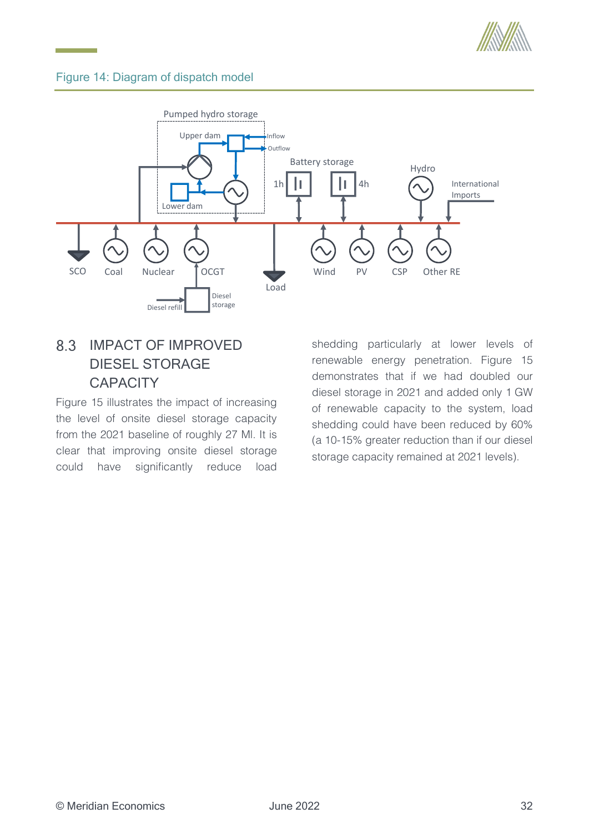

# <span id="page-39-1"></span>Figure 14: Diagram of dispatch model



# <span id="page-39-0"></span>8.3 IMPACT OF IMPROVED DIESEL STORAGE **CAPACITY**

[Figure 15](#page-40-2) illustrates the impact of increasing the level of onsite diesel storage capacity from the 2021 baseline of roughly 27 Ml. It is clear that improving onsite diesel storage could have significantly reduce load

shedding particularly at lower levels of renewable energy penetration. [Figure 15](#page-40-2) demonstrates that if we had doubled our diesel storage in 2021 and added only 1 GW of renewable capacity to the system, load shedding could have been reduced by 60% (a 10-15% greater reduction than if our diesel storage capacity remained at 2021 levels).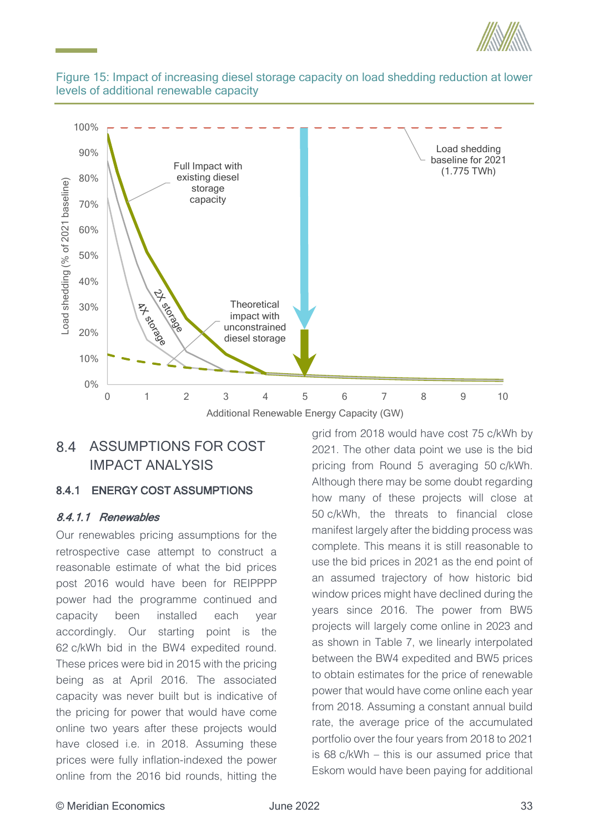



## <span id="page-40-2"></span>Figure 15: Impact of increasing diesel storage capacity on load shedding reduction at lower levels of additional renewable capacity

# <span id="page-40-0"></span>8.4 ASSUMPTIONS FOR COST IMPACT ANALYSIS

# <span id="page-40-1"></span>8.4.1 ENERGY COST ASSUMPTIONS

# 8.4.1.1 Renewables

Our renewables pricing assumptions for the retrospective case attempt to construct a reasonable estimate of what the bid prices post 2016 would have been for REIPPPP power had the programme continued and capacity been installed each year accordingly. Our starting point is the 62 c/kWh bid in the BW4 expedited round. These prices were bid in 2015 with the pricing being as at April 2016. The associated capacity was never built but is indicative of the pricing for power that would have come online two years after these projects would have closed i.e. in 2018. Assuming these prices were fully inflation-indexed the power online from the 2016 bid rounds, hitting the

grid from 2018 would have cost 75 c/kWh by 2021. The other data point we use is the bid pricing from Round 5 averaging 50 c/kWh. Although there may be some doubt regarding how many of these projects will close at 50 c/kWh, the threats to financial close manifest largely after the bidding process was complete. This means it is still reasonable to use the bid prices in 2021 as the end point of an assumed trajectory of how historic bid window prices might have declined during the years since 2016. The power from BW5 projects will largely come online in 2023 and as shown in [Table 7,](#page-41-0) we linearly interpolated between the BW4 expedited and BW5 prices to obtain estimates for the price of renewable power that would have come online each year from 2018. Assuming a constant annual build rate, the average price of the accumulated portfolio over the four years from 2018 to 2021 is 68 c/kWh – this is our assumed price that Load sheedding<br>
Load sheeding for 2021<br>
The stelline for 2021<br>
(1.775 TWh)<br>
(1.775 TWh)<br>
(6 7 8 9 10<br>
The or 2018 would have cost 75 c/kWh by<br>
grid from 2018 would have cost 75 c/kWh by<br>
2021. The other data point we use i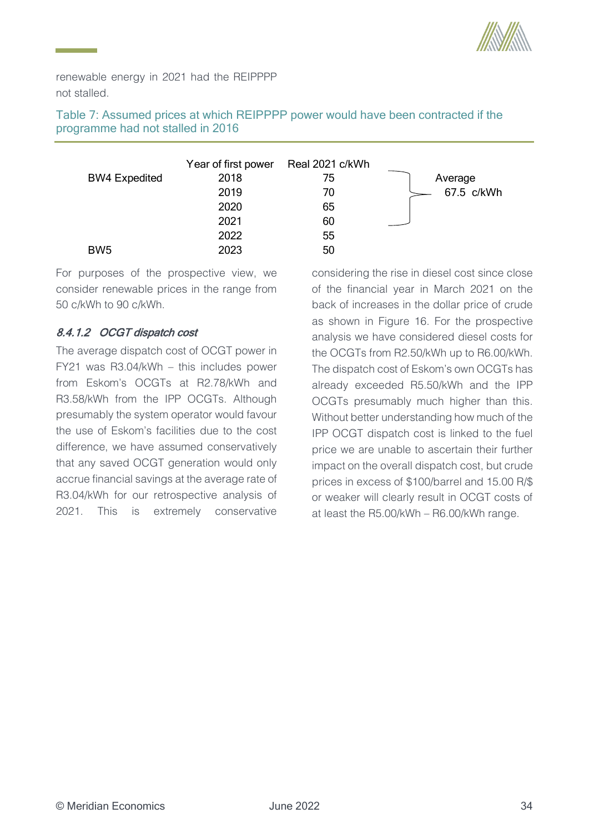

renewable energy in 2021 had the REIPPPP not stalled.

<span id="page-41-0"></span>Table 7: Assumed prices at which REIPPPP power would have been contracted if the programme had not stalled in 2016

|                      | Year of first power | Real 2021 c/kWh |            |
|----------------------|---------------------|-----------------|------------|
| <b>BW4 Expedited</b> | 2018                | 75              | Average    |
|                      | 2019                | 70              | 67.5 c/kWh |
|                      | 2020                | 65              |            |
|                      | 2021                | 60              |            |
|                      | 2022                | 55              |            |
| BW <sub>5</sub>      | 2023                | 50              |            |

For purposes of the prospective view, we consider renewable prices in the range from 50 c/kWh to 90 c/kWh.

# 8.4.1.2 OCGT dispatch cost

The average dispatch cost of OCGT power in FY21 was R3.04/kWh – this includes power from Eskom's OCGTs at R2.78/kWh and R3.58/kWh from the IPP OCGTs. Although presumably the system operator would favour the use of Eskom's facilities due to the cost difference, we have assumed conservatively that any saved OCGT generation would only accrue financial savings at the average rate of R3.04/kWh for our retrospective analysis of 2021. This is extremely conservative

considering the rise in diesel cost since close of the financial year in March 2021 on the back of increases in the dollar price of crude as shown in [Figure 16.](#page-42-0) For the prospective analysis we have considered diesel costs for the OCGTs from R2.50/kWh up to R6.00/kWh. The dispatch cost of Eskom's own OCGTs has already exceeded R5.50/kWh and the IPP OCGTs presumably much higher than this. Without better understanding how much of the IPP OCGT dispatch cost is linked to the fuel price we are unable to ascertain their further impact on the overall dispatch cost, but crude prices in excess of \$100/barrel and 15.00 R/\$ or weaker will clearly result in OCGT costs of at least the R5.00/kWh – R6.00/kWh range.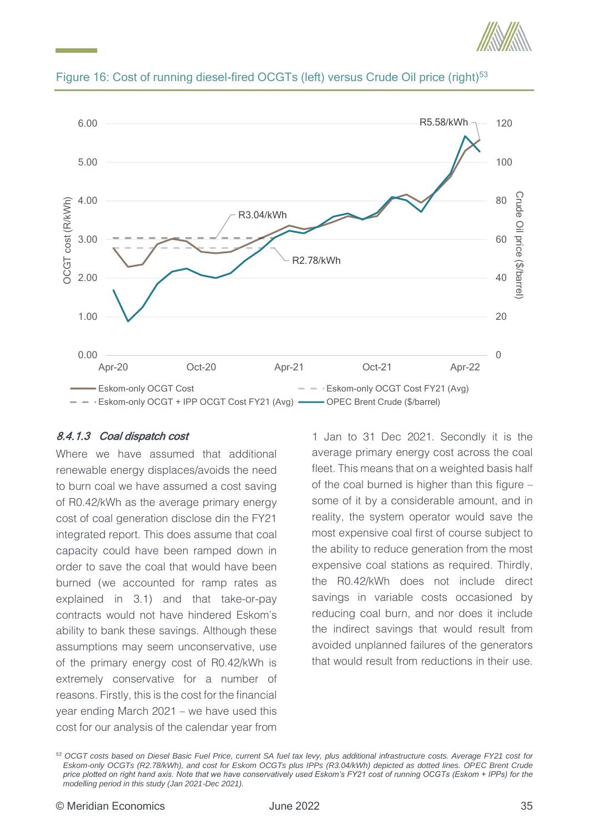



### <span id="page-42-0"></span>Figure 16: Cost of running diesel-fired OCGTs (left) versus Crude Oil price (right)<sup>53</sup>

### <span id="page-42-1"></span>8.4.1.3 Coal dispatch cost

Where we have assumed that additional renewable energy displaces/avoids the need to burn coal we have assumed a cost saving of R0.42/kWh as the average primary energy cost of coal generation disclose din the FY21 integrated report. This does assume that coal capacity could have been ramped down in order to save the coal that would have been burned (we accounted for ramp rates as explained in [3.1\)](#page-12-1) and that take-or-pay contracts would not have hindered Eskom's ability to bank these savings. Although these assumptions may seem unconservative, use of the primary energy cost of R0.42/kWh is extremely conservative for a number of reasons. Firstly, this is the cost for the financial year ending March 2021 – we have used this cost for our analysis of the calendar year from

1 Jan to 31 Dec 2021. Secondly it is the average primary energy cost across the coal fleet. This means that on a weighted basis half of the coal burned is higher than this figure – some of it by a considerable amount, and in reality, the system operator would save the most expensive coal first of course subject to the ability to reduce generation from the most expensive coal stations as required. Thirdly, the R0.42/kWh does not include direct savings in variable costs occasioned by reducing coal burn, and nor does it include the indirect savings that would result from avoided unplanned failures of the generators that would result from reductions in their use.

*<sup>53</sup> OCGT costs based on Diesel Basic Fuel Price, current SA fuel tax levy, plus additional infrastructure costs. Average FY21 cost for Eskom-only OCGTs (R2.78/kWh), and cost for Eskom OCGTs plus IPPs (R3.04/kWh) depicted as dotted lines. OPEC Brent Crude price plotted on right hand axis. Note that we have conservatively used Eskom's FY21 cost of running OCGTs (Eskom + IPPs) for the modelling period in this study (Jan 2021-Dec 2021).*